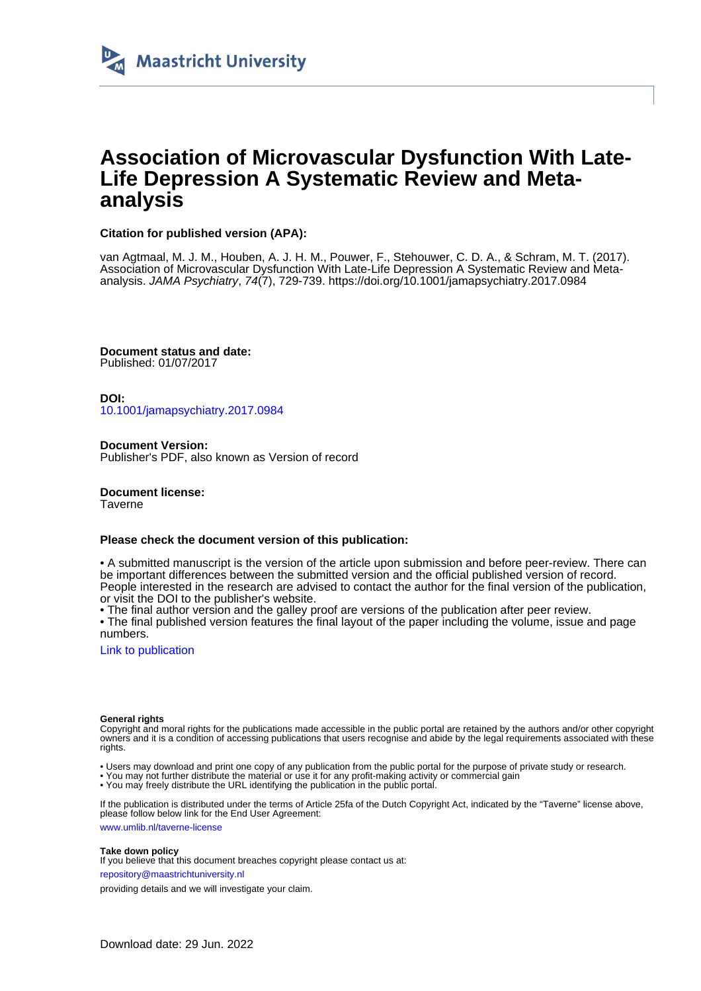

## **Association of Microvascular Dysfunction With Late-Life Depression A Systematic Review and Metaanalysis**

## **Citation for published version (APA):**

van Agtmaal, M. J. M., Houben, A. J. H. M., Pouwer, F., Stehouwer, C. D. A., & Schram, M. T. (2017). Association of Microvascular Dysfunction With Late-Life Depression A Systematic Review and Metaanalysis. JAMA Psychiatry, 74(7), 729-739. <https://doi.org/10.1001/jamapsychiatry.2017.0984>

**Document status and date:** Published: 01/07/2017

**DOI:** [10.1001/jamapsychiatry.2017.0984](https://doi.org/10.1001/jamapsychiatry.2017.0984)

**Document Version:** Publisher's PDF, also known as Version of record

**Document license:** Taverne

## **Please check the document version of this publication:**

• A submitted manuscript is the version of the article upon submission and before peer-review. There can be important differences between the submitted version and the official published version of record. People interested in the research are advised to contact the author for the final version of the publication, or visit the DOI to the publisher's website.

• The final author version and the galley proof are versions of the publication after peer review.

• The final published version features the final layout of the paper including the volume, issue and page numbers.

[Link to publication](https://cris.maastrichtuniversity.nl/en/publications/96e31dda-b6ce-466e-b996-8e3bc45aa245)

#### **General rights**

Copyright and moral rights for the publications made accessible in the public portal are retained by the authors and/or other copyright owners and it is a condition of accessing publications that users recognise and abide by the legal requirements associated with these rights.

• Users may download and print one copy of any publication from the public portal for the purpose of private study or research.

• You may not further distribute the material or use it for any profit-making activity or commercial gain

• You may freely distribute the URL identifying the publication in the public portal.

If the publication is distributed under the terms of Article 25fa of the Dutch Copyright Act, indicated by the "Taverne" license above, please follow below link for the End User Agreement:

www.umlib.nl/taverne-license

#### **Take down policy**

If you believe that this document breaches copyright please contact us at:

repository@maastrichtuniversity.nl

providing details and we will investigate your claim.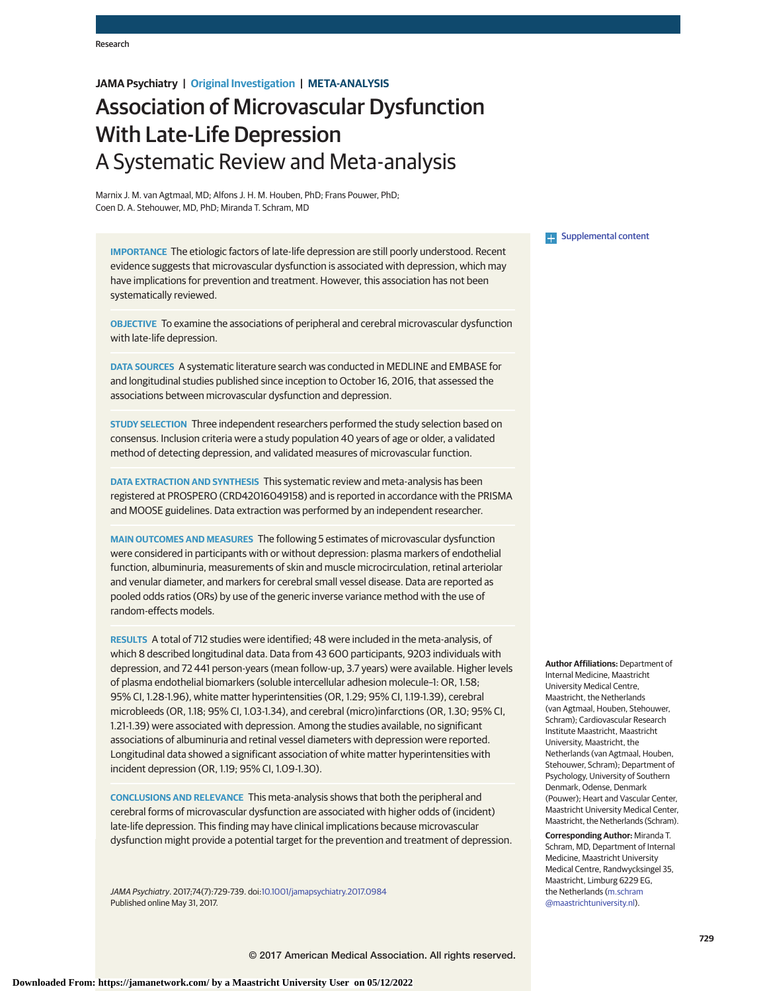## **JAMA Psychiatry | Original Investigation | META-ANALYSIS**

# Association of Microvascular Dysfunction With Late-Life Depression A Systematic Review and Meta-analysis

Marnix J. M. van Agtmaal, MD; Alfons J. H. M. Houben, PhD; Frans Pouwer, PhD; Coen D. A. Stehouwer, MD, PhD; Miranda T. Schram, MD

**IMPORTANCE** The etiologic factors of late-life depression are still poorly understood. Recent evidence suggests that microvascular dysfunction is associated with depression, which may have implications for prevention and treatment. However, this association has not been systematically reviewed.

**OBJECTIVE** To examine the associations of peripheral and cerebral microvascular dysfunction with late-life depression.

**DATA SOURCES** A systematic literature search was conducted in MEDLINE and EMBASE for and longitudinal studies published since inception to October 16, 2016, that assessed the associations between microvascular dysfunction and depression.

**STUDY SELECTION** Three independent researchers performed the study selection based on consensus. Inclusion criteria were a study population 40 years of age or older, a validated method of detecting depression, and validated measures of microvascular function.

**DATA EXTRACTION AND SYNTHESIS** This systematic review and meta-analysis has been registered at PROSPERO (CRD42016049158) and is reported in accordance with the PRISMA and MOOSE guidelines. Data extraction was performed by an independent researcher.

**MAIN OUTCOMES AND MEASURES** The following 5 estimates of microvascular dysfunction were considered in participants with or without depression: plasma markers of endothelial function, albuminuria, measurements of skin and muscle microcirculation, retinal arteriolar and venular diameter, and markers for cerebral small vessel disease. Data are reported as pooled odds ratios (ORs) by use of the generic inverse variance method with the use of random-effects models.

**RESULTS** A total of 712 studies were identified; 48 were included in the meta-analysis, of which 8 described longitudinal data. Data from 43 600 participants, 9203 individuals with depression, and 72 441 person-years (mean follow-up, 3.7 years) were available. Higher levels of plasma endothelial biomarkers (soluble intercellular adhesion molecule–1: OR, 1.58; 95% CI, 1.28-1.96), white matter hyperintensities (OR, 1.29; 95% CI, 1.19-1.39), cerebral microbleeds (OR, 1.18; 95% CI, 1.03-1.34), and cerebral (micro)infarctions (OR, 1.30; 95% CI, 1.21-1.39) were associated with depression. Among the studies available, no significant associations of albuminuria and retinal vessel diameters with depression were reported. Longitudinal data showed a significant association of white matter hyperintensities with incident depression (OR, 1.19; 95% CI, 1.09-1.30).

**CONCLUSIONS AND RELEVANCE** This meta-analysis shows that both the peripheral and cerebral forms of microvascular dysfunction are associated with higher odds of (incident) late-life depression. This finding may have clinical implications because microvascular dysfunction might provide a potential target for the prevention and treatment of depression.

JAMA Psychiatry. 2017;74(7):729-739. doi[:10.1001/jamapsychiatry.2017.0984](http://jama.jamanetwork.com/article.aspx?doi=10.1001/jamapsychiatry.2017.0984&utm_campaign=articlePDF%26utm_medium=articlePDFlink%26utm_source=articlePDF%26utm_content=jamapsychiatry.2017.0984) Published online May 31, 2017.

**Examplemental content** 

**Author Affiliations:** Department of Internal Medicine, Maastricht University Medical Centre, Maastricht, the Netherlands (van Agtmaal, Houben, Stehouwer, Schram); Cardiovascular Research Institute Maastricht, Maastricht University, Maastricht, the Netherlands (van Agtmaal, Houben, Stehouwer, Schram); Department of Psychology, University of Southern Denmark, Odense, Denmark (Pouwer); Heart and Vascular Center, Maastricht University Medical Center, Maastricht, the Netherlands (Schram).

**Corresponding Author:** Miranda T. Schram, MD, Department of Internal Medicine, Maastricht University Medical Centre, Randwycksingel 35, Maastricht, Limburg 6229 EG, the Netherlands [\(m.schram](mailto:m.schram@maastrichtuniversity.nl) [@maastrichtuniversity.nl\)](mailto:m.schram@maastrichtuniversity.nl).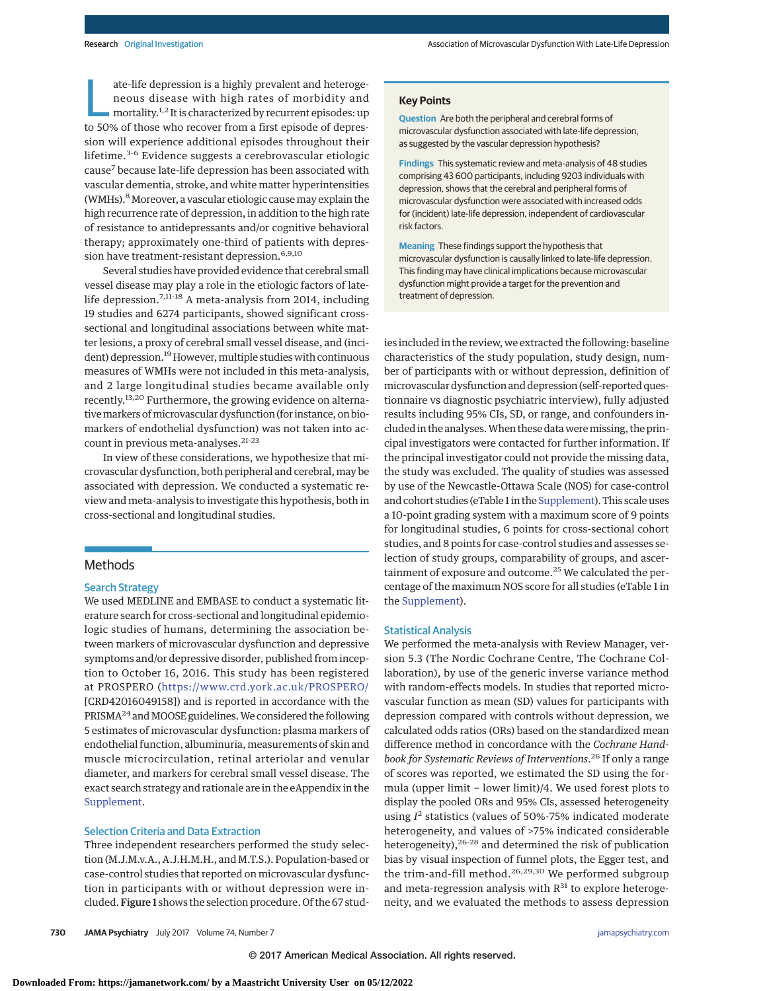ate-life depression is a highly prevalent and heteroge-<br>neous disease with high rates of morbidity and<br>mortality.<sup>1,2</sup> It is characterized by recurrent episodes: up<br>to 50% of those who recover from a first opisode of dopre neous disease with high rates of morbidity and to 50% of those who recover from a first episode of depression will experience additional episodes throughout their lifetime.<sup>3-6</sup> Evidence suggests a cerebrovascular etiologic cause7 because late-life depression has been associated with vascular dementia, stroke, and white matter hyperintensities (WMHs).<sup>8</sup> Moreover, a vascular etiologic cause may explain the high recurrence rate of depression, in addition to the high rate of resistance to antidepressants and/or cognitive behavioral therapy; approximately one-third of patients with depression have treatment-resistant depression.<sup>6,9,10</sup>

Several studies have provided evidence that cerebral small vessel disease may play a role in the etiologic factors of latelife depression.7,11-18 A meta-analysis from 2014, including 19 studies and 6274 participants, showed significant crosssectional and longitudinal associations between white matter lesions, a proxy of cerebral small vessel disease, and (incident) depression.<sup>19</sup> However, multiple studies with continuous measures of WMHs were not included in this meta-analysis, and 2 large longitudinal studies became available only recently.<sup>13,20</sup> Furthermore, the growing evidence on alternativemarkers ofmicrovascular dysfunction (for instance, on biomarkers of endothelial dysfunction) was not taken into account in previous meta-analyses.<sup>21-23</sup>

In view of these considerations, we hypothesize that microvascular dysfunction, both peripheral and cerebral, may be associated with depression. We conducted a systematic review and meta-analysis to investigate this hypothesis, both in cross-sectional and longitudinal studies.

## **Methods**

#### Search Strategy

We used MEDLINE and EMBASE to conduct a systematic literature search for cross-sectional and longitudinal epidemiologic studies of humans, determining the association between markers of microvascular dysfunction and depressive symptoms and/or depressive disorder, published from inception to October 16, 2016. This study has been registered at PROSPERO [\(https://www.crd.york.ac.uk/PROSPERO/](https://www.crd.york.ac.uk/PROSPERO/) [CRD42016049158]) and is reported in accordance with the PRISMA<sup>24</sup> and MOOSE guidelines. We considered the following 5 estimates of microvascular dysfunction: plasma markers of endothelial function, albuminuria, measurements of skin and muscle microcirculation, retinal arteriolar and venular diameter, and markers for cerebral small vessel disease. The exact search strategy and rationale are in the eAppendix in the [Supplement.](http://jama.jamanetwork.com/article.aspx?doi=10.1001/jamapsychiatry.2017.0984&utm_campaign=articlePDF%26utm_medium=articlePDFlink%26utm_source=articlePDF%26utm_content=jamapsychiatry.2017.0984)

#### Selection Criteria and Data Extraction

Three independent researchers performed the study selection (M.J.M.v.A., A.J.H.M.H., and M.T.S.). Population-based or case-control studies that reported on microvascular dysfunction in participants with or without depression were included. Figure 1 shows the selection procedure. Of the 67 stud**Question** Are both the peripheral and cerebral forms of microvascular dysfunction associated with late-life depression, as suggested by the vascular depression hypothesis?

**Findings** This systematic review and meta-analysis of 48 studies comprising 43 600 participants, including 9203 individuals with depression, shows that the cerebral and peripheral forms of microvascular dysfunction were associated with increased odds for (incident) late-life depression, independent of cardiovascular risk factors.

**Meaning** These findings support the hypothesis that microvascular dysfunction is causally linked to late-life depression. This finding may have clinical implications because microvascular dysfunction might provide a target for the prevention and treatment of depression.

ies included in the review, we extracted the following: baseline characteristics of the study population, study design, number of participants with or without depression, definition of microvascular dysfunction and depression (self-reported questionnaire vs diagnostic psychiatric interview), fully adjusted results including 95% CIs, SD, or range, and confounders included in the analyses. When these data were missing, the principal investigators were contacted for further information. If the principal investigator could not provide the missing data, the study was excluded. The quality of studies was assessed by use of the Newcastle-Ottawa Scale (NOS) for case-control and cohort studies (eTable 1 in the [Supplement\)](http://jama.jamanetwork.com/article.aspx?doi=10.1001/jamapsychiatry.2017.0984&utm_campaign=articlePDF%26utm_medium=articlePDFlink%26utm_source=articlePDF%26utm_content=jamapsychiatry.2017.0984). This scale uses a 10-point grading system with a maximum score of 9 points for longitudinal studies, 6 points for cross-sectional cohort studies, and 8 points for case-control studies and assesses selection of study groups, comparability of groups, and ascertainment of exposure and outcome.<sup>25</sup> We calculated the percentage of the maximum NOS score for all studies (eTable 1 in the [Supplement\)](http://jama.jamanetwork.com/article.aspx?doi=10.1001/jamapsychiatry.2017.0984&utm_campaign=articlePDF%26utm_medium=articlePDFlink%26utm_source=articlePDF%26utm_content=jamapsychiatry.2017.0984).

#### Statistical Analysis

We performed the meta-analysis with Review Manager, version 5.3 (The Nordic Cochrane Centre, The Cochrane Collaboration), by use of the generic inverse variance method with random-effects models. In studies that reported microvascular function as mean (SD) values for participants with depression compared with controls without depression, we calculated odds ratios (ORs) based on the standardized mean difference method in concordance with the *Cochrane Handbook for Systematic Reviews of Interventions*. <sup>26</sup> If only a range of scores was reported, we estimated the SD using the formula (upper limit − lower limit)/4. We used forest plots to display the pooled ORs and 95% CIs, assessed heterogeneity using *I* <sup>2</sup> statistics (values of 50%-75% indicated moderate heterogeneity, and values of >75% indicated considerable heterogeneity),<sup>26-28</sup> and determined the risk of publication bias by visual inspection of funnel plots, the Egger test, and the trim-and-fill method.26,29,30 We performed subgroup and meta-regression analysis with  $R^{31}$  to explore heterogeneity, and we evaluated the methods to assess depression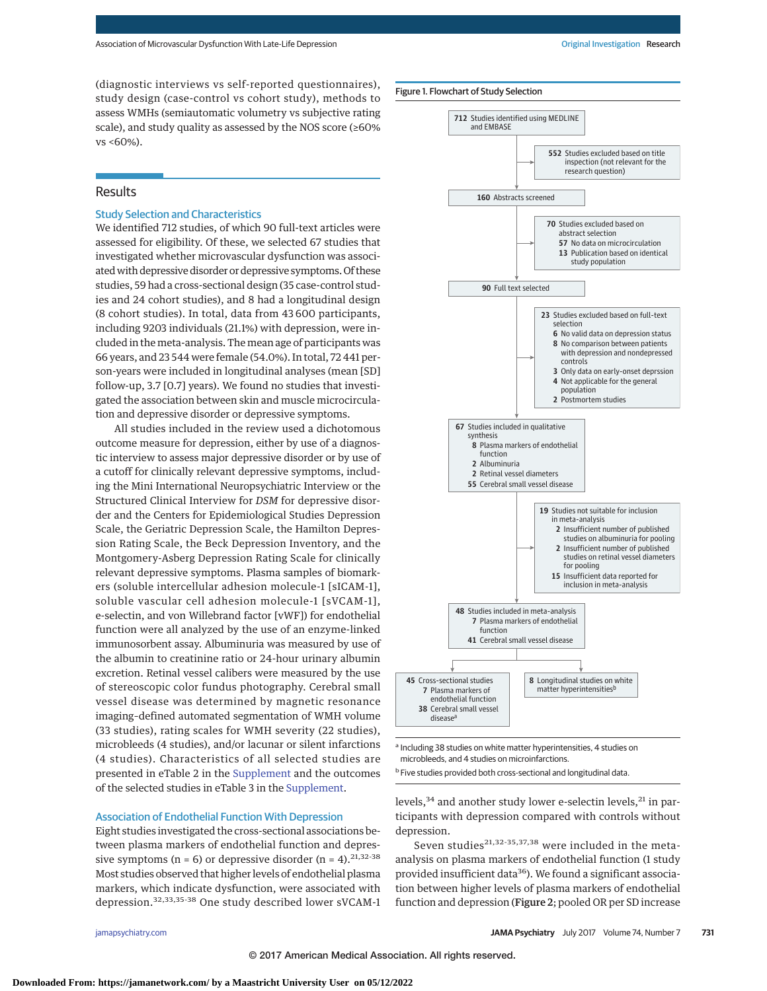(diagnostic interviews vs self-reported questionnaires), study design (case-control vs cohort study), methods to assess WMHs (semiautomatic volumetry vs subjective rating scale), and study quality as assessed by the NOS score (≥60% vs <60%).

## **Results**

### Study Selection and Characteristics

We identified 712 studies, of which 90 full-text articles were assessed for eligibility. Of these, we selected 67 studies that investigated whether microvascular dysfunction was associatedwith depressive disorder or depressive symptoms. Of these studies, 59 had a cross-sectional design (35 case-control studies and 24 cohort studies), and 8 had a longitudinal design (8 cohort studies). In total, data from 43 600 participants, including 9203 individuals (21.1%) with depression, were included in the meta-analysis. The mean age of participants was 66 years, and 23 544 were female (54.0%). In total, 72 441 person-years were included in longitudinal analyses (mean [SD] follow-up, 3.7 [0.7] years). We found no studies that investigated the association between skin and muscle microcirculation and depressive disorder or depressive symptoms.

All studies included in the review used a dichotomous outcome measure for depression, either by use of a diagnostic interview to assess major depressive disorder or by use of a cutoff for clinically relevant depressive symptoms, including the Mini International Neuropsychiatric Interview or the Structured Clinical Interview for *DSM* for depressive disorder and the Centers for Epidemiological Studies Depression Scale, the Geriatric Depression Scale, the Hamilton Depression Rating Scale, the Beck Depression Inventory, and the Montgomery-Asberg Depression Rating Scale for clinically relevant depressive symptoms. Plasma samples of biomarkers (soluble intercellular adhesion molecule-1 [sICAM-1], soluble vascular cell adhesion molecule-1 [sVCAM-1], e-selectin, and von Willebrand factor [vWF]) for endothelial function were all analyzed by the use of an enzyme-linked immunosorbent assay. Albuminuria was measured by use of the albumin to creatinine ratio or 24-hour urinary albumin excretion. Retinal vessel calibers were measured by the use of stereoscopic color fundus photography. Cerebral small vessel disease was determined by magnetic resonance imaging–defined automated segmentation of WMH volume (33 studies), rating scales for WMH severity (22 studies), microbleeds (4 studies), and/or lacunar or silent infarctions (4 studies). Characteristics of all selected studies are presented in eTable 2 in the [Supplement](http://jama.jamanetwork.com/article.aspx?doi=10.1001/jamapsychiatry.2017.0984&utm_campaign=articlePDF%26utm_medium=articlePDFlink%26utm_source=articlePDF%26utm_content=jamapsychiatry.2017.0984) and the outcomes of the selected studies in eTable 3 in the [Supplement.](http://jama.jamanetwork.com/article.aspx?doi=10.1001/jamapsychiatry.2017.0984&utm_campaign=articlePDF%26utm_medium=articlePDFlink%26utm_source=articlePDF%26utm_content=jamapsychiatry.2017.0984)

### Association of Endothelial Function With Depression

Eight studies investigated the cross-sectional associations between plasma markers of endothelial function and depressive symptoms ( $n = 6$ ) or depressive disorder ( $n = 4$ ). <sup>21,32-38</sup> Most studies observed that higher levels of endothelial plasma markers, which indicate dysfunction, were associated with depression.32,33,35-38 One study described lower sVCAM-1

Figure 1. Flowchart of Study Selection

**712** Studies identified using MEDLINE

and EMBASE



a Including 38 studies on white matter hyperintensities, 4 studies on microbleeds, and 4 studies on microinfarctions.

b Five studies provided both cross-sectional and longitudinal data.

levels,  $34$  and another study lower e-selectin levels,  $21$  in participants with depression compared with controls without depression.

Seven studies<sup>21,32-35,37,38</sup> were included in the metaanalysis on plasma markers of endothelial function (1 study provided insufficient data<sup>36</sup>). We found a significant association between higher levels of plasma markers of endothelial function and depression (Figure 2; pooled OR per SD increase

**552** Studies excluded based on title inspection (not relevant for the

© 2017 American Medical Association. All rights reserved.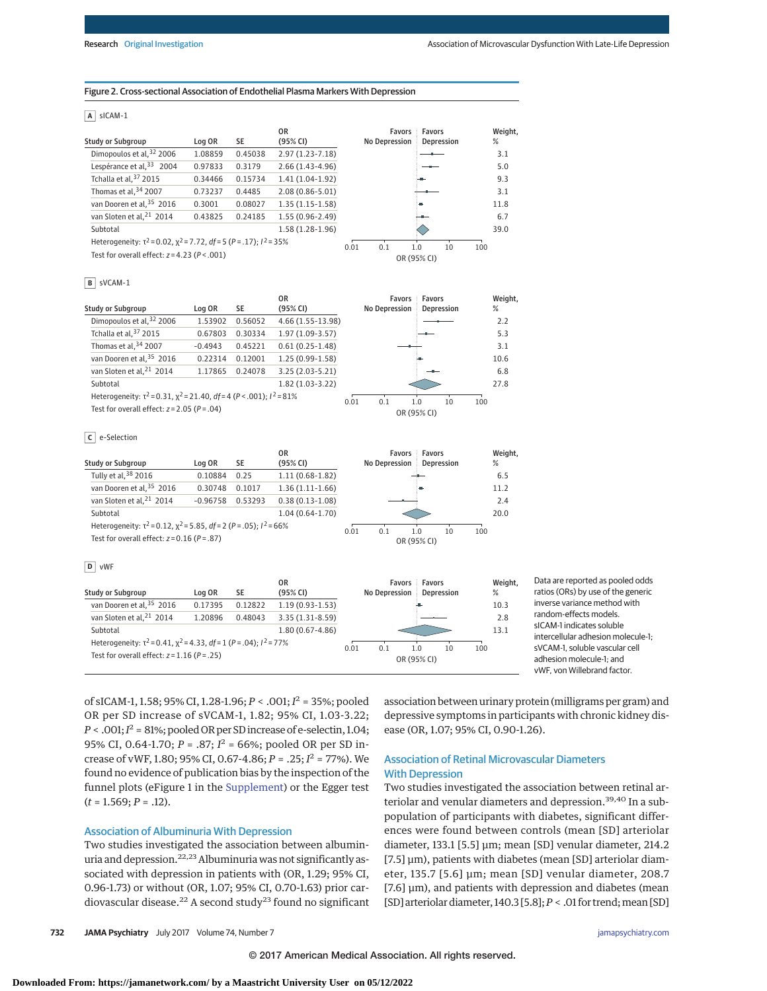#### Figure 2. Cross-sectional Association of Endothelial Plasma Markers With Depression

#### **A** sICAM-1

|                                                                                |         |         | 0R                  | Favors        | Favors      | Weight, |
|--------------------------------------------------------------------------------|---------|---------|---------------------|---------------|-------------|---------|
| <b>Study or Subgroup</b>                                                       | Log OR  | SE      | (95% CI)            | No Depression | Depression  | %       |
| Dimopoulos et al, 32 2006                                                      | 1.08859 | 0.45038 | $2.97(1.23 - 7.18)$ |               |             | 3.1     |
| Lespérance et al, 33 2004                                                      | 0.97833 | 0.3179  | $2.66(1.43-4.96)$   |               |             | 5.0     |
| Tchalla et al, 37 2015                                                         | 0.34466 | 0.15734 | $1.41(1.04-1.92)$   |               | HШ.         | 9.3     |
| Thomas et al, 34 2007                                                          | 0.73237 | 0.4485  | $2.08(0.86 - 5.01)$ |               |             | 3.1     |
| van Dooren et al, 35 2016                                                      | 0.3001  | 0.08027 | $1.35(1.15-1.58)$   |               | ٠           | 11.8    |
| van Sloten et al, <sup>21</sup> 2014                                           | 0.43825 | 0.24185 | $1.55(0.96-2.49)$   |               | --          | 6.7     |
| Subtotal                                                                       |         |         | $1.58(1.28-1.96)$   |               |             | 39.0    |
| Heterogeneity: $\tau^2$ = 0.02, $\chi^2$ = 7.72, df = 5 (P = .17); $l^2$ = 35% |         |         |                     | 0.1<br>0.01   | 1.0<br>10   | 100     |
| Test for overall effect: $z = 4.23$ ( $P < .001$ )                             |         |         |                     |               | OR (95% CI) |         |

#### **B** sVCAM-1

|                                                                                  |           |         | 0R                | <b>Favors</b> | <b>Favors</b>      |
|----------------------------------------------------------------------------------|-----------|---------|-------------------|---------------|--------------------|
| <b>Study or Subgroup</b>                                                         | Log OR    | SE      | (95% CI)          | No Depression | Depression         |
| Dimopoulos et al, 32 2006                                                        | 1.53902   | 0.56052 | 4.66 (1.55-13.98) |               |                    |
| Tchalla et al, 37 2015                                                           | 0.67803   | 0.30334 | 1.97 (1.09-3.57)  |               |                    |
| Thomas et al, 34 2007                                                            | $-0.4943$ | 0.45221 | $0.61(0.25-1.48)$ |               |                    |
| van Dooren et al, 35 2016                                                        | 0.22314   | 0.12001 | 1.25 (0.99-1.58)  |               | in-                |
| van Sloten et al, <sup>21</sup> 2014                                             | 1.17865   | 0.24078 | $3.25(2.03-5.21)$ |               |                    |
| Subtotal                                                                         |           |         | $1.82(1.03-3.22)$ |               |                    |
| Heterogeneity: $\tau^2$ = 0.31, $\chi^2$ = 21.40, df = 4 (P < .001); $I^2$ = 81% |           |         |                   |               | 100<br>10          |
| Test for overall effect: $z = 2.05$ ( $P = .04$ )                                |           |         |                   | 0.01<br>0.1   | 1.0<br>OR (95% CI) |

#### **C** e-Selection

|                   |                                                                                |            |         | 0R                |               |     | <b>Favors Favors</b> |    |     |
|-------------------|--------------------------------------------------------------------------------|------------|---------|-------------------|---------------|-----|----------------------|----|-----|
| Study or Subgroup |                                                                                | Log OR     | SE      | (95% CI)          | No Depression |     | Depression           |    |     |
|                   | Tully et al, 38 2016                                                           | 0.10884    | 0.25    | $1.11(0.68-1.82)$ |               |     |                      |    |     |
|                   | van Dooren et al, 35 2016                                                      | 0.30748    | 0.1017  | $1.36(1.11-1.66)$ |               |     | <b>September</b>     |    |     |
|                   | van Sloten et al, <sup>21</sup> 2014                                           | $-0.96758$ | 0.53293 | $0.38(0.13-1.08)$ |               |     |                      |    |     |
|                   | Subtotal                                                                       |            |         | $1.04(0.64-1.70)$ |               |     |                      |    |     |
|                   | Heterogeneity: $\tau^2$ = 0.12, $\chi^2$ = 5.85, df = 2 (P = .05); $I^2$ = 66% |            |         |                   | 0.01          | 0.1 | 1.0                  | 10 | 100 |
|                   | Test for overall effect: $z = 0.16$ ( $P = .87$ )                              |            |         |                   |               |     | OR (95% CI)          |    |     |
|                   |                                                                                |            |         |                   |               |     |                      |    |     |

#### **D** vWF

| <b>Study or Subgroup</b>                                                                                                            | Log OR  | SE      | 0R<br>(95% CI)      |      | Favors<br><b>No Depression</b> | <b>Favors</b>      | Depression | Weight.<br>$\%$ | Data are re<br>ratios (ORs |
|-------------------------------------------------------------------------------------------------------------------------------------|---------|---------|---------------------|------|--------------------------------|--------------------|------------|-----------------|----------------------------|
| van Dooren et al, 35 2016                                                                                                           | 0.17395 | 0.12822 | $1.19(0.93-1.53)$   |      |                                |                    |            | 10.3            | inverse var                |
| van Sloten et al, <sup>21</sup> 2014                                                                                                | 1.20896 | 0.48043 | $3.35(1.31-8.59)$   |      |                                |                    |            | 2.8             | random-ef                  |
| Subtotal                                                                                                                            |         |         | $1.80(0.67 - 4.86)$ |      |                                |                    |            | 13.1            | sICAM-1 in<br>intercellula |
| Heterogeneity: $\tau^2$ = 0.41, $\chi^2$ = 4.33, df = 1 (P = .04); $l^2$ = 77%<br>Test for overall effect: $z = 1.16$ ( $P = .25$ ) |         |         |                     | 0.01 | 0.1                            | 1.0<br>OR (95% CI) | 10         | 100             | sVCAM-1, s<br>adhesion n   |

ported as pooled odds s) by use of the generic riance method with fects models dicates soluble ar adhesion molecule-1; soluble vascular cell adhesion molecule-1; and vWF, von Willebrand factor.

of sICAM-1, 1.58; 95% CI, 1.28-1.96; *P* < .001; *I* <sup>2</sup> = 35%; pooled OR per SD increase of sVCAM-1, 1.82; 95% CI, 1.03-3.22;  $P < .001; I<sup>2</sup> = 81\%;$  pooled OR per SD increase of e-selectin, 1.04; 95% CI, 0.64-1.70; *P* = .87; *I* <sup>2</sup> = 66%; pooled OR per SD increase of vWF, 1.80; 95% CI, 0.67-4.86; *P* = .25; *I* <sup>2</sup> = 77%). We found no evidence of publication bias by the inspection of the funnel plots (eFigure 1 in the [Supplement\)](http://jama.jamanetwork.com/article.aspx?doi=10.1001/jamapsychiatry.2017.0984&utm_campaign=articlePDF%26utm_medium=articlePDFlink%26utm_source=articlePDF%26utm_content=jamapsychiatry.2017.0984) or the Egger test  $(t = 1.569; P = .12)$ .

#### Association of Albuminuria With Depression

Two studies investigated the association between albuminuria and depression.<sup>22,23</sup> Albuminuria was not significantly associated with depression in patients with (OR, 1.29; 95% CI, 0.96-1.73) or without (OR, 1.07; 95% CI, 0.70-1.63) prior cardiovascular disease.<sup>22</sup> A second study<sup>23</sup> found no significant association between urinary protein (milligrams per gram) and depressive symptoms in participants with chronic kidney disease (OR, 1.07; 95% CI, 0.90-1.26).

Weight, % 6.5 11.2 2.4 20.0

Weight, % 2.2 5.3 3.1 10.6 6.8 27.8

## Association of Retinal Microvascular Diameters With Depression

Two studies investigated the association between retinal arteriolar and venular diameters and depression.<sup>39,40</sup> In a subpopulation of participants with diabetes, significant differences were found between controls (mean [SD] arteriolar diameter, 133.1 [5.5] μm; mean [SD] venular diameter, 214.2 [7.5] μm), patients with diabetes (mean [SD] arteriolar diameter, 135.7 [5.6] μm; mean [SD] venular diameter, 208.7 [7.6] μm), and patients with depression and diabetes (mean [SD] arteriolar diameter, 140.3 [5.8]; *P* < .01 for trend; mean [SD]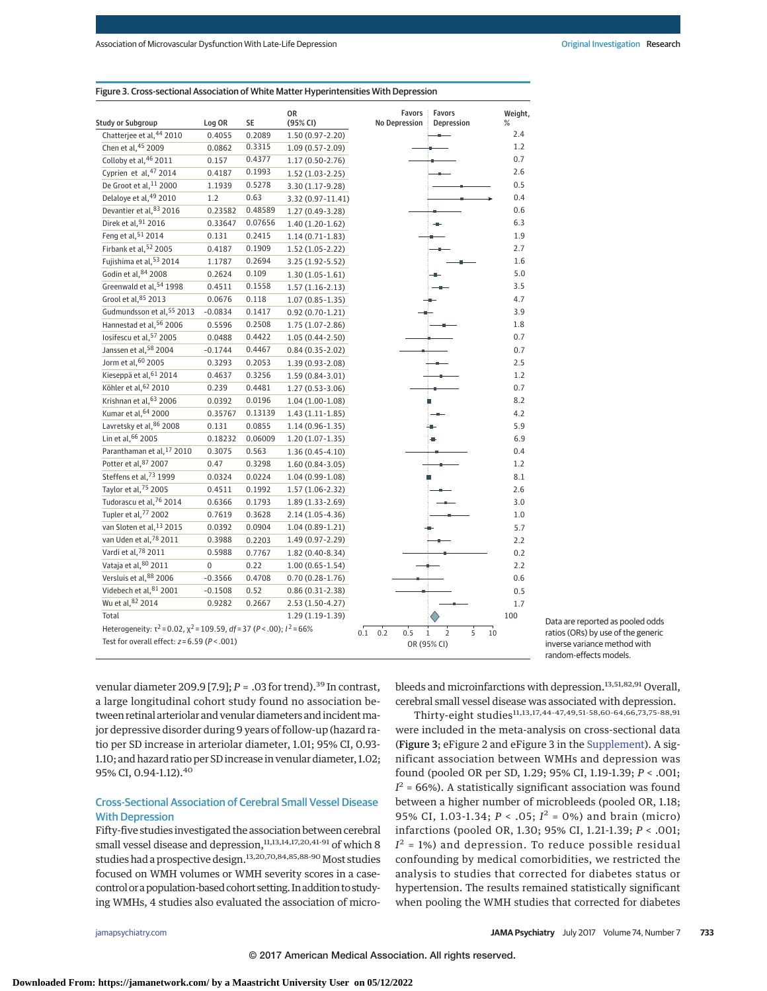| <b>Study or Subgroup</b>                                                          | Log OR    | SE      | <b>OR</b><br>(95% CI) | Favors<br>No Depression | Favors<br>Depression                               | Weight,<br>% |
|-----------------------------------------------------------------------------------|-----------|---------|-----------------------|-------------------------|----------------------------------------------------|--------------|
| Chatterjee et al, 44 2010                                                         | 0.4055    | 0.2089  | $1.50(0.97 - 2.20)$   |                         |                                                    | 2.4          |
| Chen et al, 45 2009                                                               | 0.0862    | 0.3315  | $1.09(0.57 - 2.09)$   |                         |                                                    | 1.2          |
| Colloby et al, 46 2011                                                            | 0.157     | 0.4377  | $1.17(0.50-2.76)$     |                         |                                                    | 0.7          |
| Cyprien et al, 47 2014                                                            | 0.4187    | 0.1993  | $1.52(1.03-2.25)$     |                         |                                                    | 2.6          |
| De Groot et al, 11 2000                                                           | 1.1939    | 0.5278  | 3.30 (1.17-9.28)      |                         |                                                    | 0.5          |
| Delaloye et al, 49 2010                                                           | 1.2       | 0.63    | 3.32 (0.97-11.41)     |                         |                                                    | 0.4          |
| Devantier et al, 83 2016                                                          | 0.23582   | 0.48589 | $1.27(0.49-3.28)$     |                         |                                                    | 0.6          |
| Direk et al, 91 2016                                                              | 0.33647   | 0.07656 | $1.40(1.20-1.62)$     |                         |                                                    | 6.3          |
| Feng et al, 51 2014                                                               | 0.131     | 0.2415  | $1.14(0.71-1.83)$     |                         |                                                    | 1.9          |
| Firbank et al, 52 2005                                                            | 0.4187    | 0.1909  | $1.52(1.05-2.22)$     |                         |                                                    | 2.7          |
| Fujishima et al, 53 2014                                                          | 1.1787    | 0.2694  | $3.25(1.92 - 5.52)$   |                         |                                                    | 1.6          |
| Godin et al, 84 2008                                                              | 0.2624    | 0.109   | $1.30(1.05-1.61)$     |                         |                                                    | 5.0          |
| Greenwald et al, 54 1998                                                          | 0.4511    | 0.1558  | $1.57(1.16-2.13)$     |                         |                                                    | 3.5          |
| Grool et al, 85 2013                                                              | 0.0676    | 0.118   | $1.07(0.85 - 1.35)$   |                         |                                                    | 4.7          |
| Gudmundsson et al, 55 2013                                                        | $-0.0834$ | 0.1417  | $0.92(0.70-1.21)$     |                         |                                                    | 3.9          |
| Hannestad et al. <sup>56</sup> 2006                                               | 0.5596    | 0.2508  | $1.75(1.07 - 2.86)$   |                         |                                                    | 1.8          |
| losifescu et al, 57 2005                                                          | 0.0488    | 0.4422  | $1.05(0.44 - 2.50)$   |                         |                                                    | 0.7          |
| Janssen et al, 58 2004                                                            | $-0.1744$ | 0.4467  | $0.84(0.35 - 2.02)$   |                         |                                                    | 0.7          |
| Jorm et al, 60 2005                                                               | 0.3293    | 0.2053  | $1.39(0.93 - 2.08)$   |                         |                                                    | 2.5          |
| Kieseppä et al, 61 2014                                                           | 0.4637    | 0.3256  | $1.59(0.84 - 3.01)$   |                         |                                                    | 1.2          |
| Köhler et al, 62 2010                                                             | 0.239     | 0.4481  | $1.27(0.53 - 3.06)$   |                         |                                                    | 0.7          |
| Krishnan et al, 63 2006                                                           | 0.0392    | 0.0196  | $1.04(1.00-1.08)$     |                         |                                                    | 8.2          |
| Kumar et al. <sup>64</sup> 2000                                                   | 0.35767   | 0.13139 | $1.43(1.11-1.85)$     |                         |                                                    | 4.2          |
| Lavretsky et al, 86 2008                                                          | 0.131     | 0.0855  | $1.14(0.96 - 1.35)$   |                         |                                                    | 5.9          |
| Lin et al, 66 2005                                                                | 0.18232   | 0.06009 | $1.20(1.07-1.35)$     |                         |                                                    | 6.9          |
| Paranthaman et al, 17 2010                                                        | 0.3075    | 0.563   | $1.36(0.45-4.10)$     |                         |                                                    | 0.4          |
| Potter et al, 87 2007                                                             | 0.47      | 0.3298  | $1.60(0.84-3.05)$     |                         |                                                    | 1.2          |
| Steffens et al, 73 1999                                                           | 0.0324    | 0.0224  | $1.04(0.99-1.08)$     |                         |                                                    | 8.1          |
| Taylor et al, 75 2005                                                             | 0.4511    | 0.1992  | $1.57(1.06-2.32)$     |                         |                                                    | 2.6          |
| Tudorascu et al, 76 2014                                                          | 0.6366    | 0.1793  | $1.89(1.33-2.69)$     |                         |                                                    | 3.0          |
| Tupler et al, 77 2002                                                             | 0.7619    | 0.3628  | $2.14(1.05-4.36)$     |                         |                                                    | 1.0          |
| van Sloten et al, 13 2015                                                         | 0.0392    | 0.0904  | $1.04(0.89-1.21)$     |                         |                                                    | 5.7          |
| van Uden et al, 78 2011                                                           | 0.3988    | 0.2203  | $1.49(0.97 - 2.29)$   |                         |                                                    | 2.2          |
| Vardi et al, 78 2011                                                              | 0.5988    | 0.7767  | $1.82(0.40-8.34)$     |                         |                                                    | 0.2          |
| Vataja et al, 80 2011                                                             | $\pmb{0}$ | 0.22    | $1.00(0.65 - 1.54)$   |                         |                                                    | 2.2          |
| Versluis et al, 88 2006                                                           | $-0.3566$ | 0.4708  | $0.70(0.28-1.76)$     |                         |                                                    | 0.6          |
| Videbech et al, 81 2001                                                           | $-0.1508$ | 0.52    | $0.86(0.31-2.38)$     |                         |                                                    | 0.5          |
| Wu et al, 82 2014                                                                 | 0.9282    | 0.2667  | $2.53(1.50-4.27)$     |                         |                                                    | 1.7          |
| Total                                                                             |           |         | $1.29(1.19-1.39)$     |                         |                                                    | 100          |
| Heterogeneity: $\tau^2$ = 0.02, $\chi^2$ = 109.59, df = 37 (P < .00); $1^2$ = 66% |           |         |                       |                         |                                                    |              |
| Test for overall effect: $z = 6.59$ ( $P < .001$ )                                |           |         |                       | 0.1<br>0.2<br>0.5       | $\overline{2}$<br>5<br>$\mathbf{1}$<br>OR (95% CI) | $10\,$       |

Figure 3. Cross-sectional Association of White Matter Hyperintensities With Depression



venular diameter 209.9 [7.9];  $P = .03$  for trend).<sup>39</sup> In contrast, a large longitudinal cohort study found no association between retinal arteriolar and venular diameters and incident major depressive disorder during 9 years of follow-up (hazard ratio per SD increase in arteriolar diameter, 1.01; 95% CI, 0.93- 1.10; and hazard ratio per SD increase in venular diameter, 1.02; 95% CI, 0.94-1.12).<sup>40</sup>

## Cross-Sectional Association of Cerebral Small Vessel Disease With Depression

Fifty-five studies investigated the association between cerebral small vessel disease and depression,<sup>11,13,14,17,20,41-91</sup> of which 8 studies had a prospective design.<sup>13,20,70,84,85,88-90</sup> Most studies focused on WMH volumes or WMH severity scores in a casecontrol or a population-based cohort setting. In addition to studying WMHs, 4 studies also evaluated the association of microbleeds and microinfarctions with depression.<sup>13,51,82,91</sup> Overall, cerebral small vessel disease was associated with depression.

Thirty-eight studies<sup>11,13,17,44-47,49,51-58,60-64,66,73,75-88,91</sup> were included in the meta-analysis on cross-sectional data (Figure 3; eFigure 2 and eFigure 3 in the [Supplement\)](http://jama.jamanetwork.com/article.aspx?doi=10.1001/jamapsychiatry.2017.0984&utm_campaign=articlePDF%26utm_medium=articlePDFlink%26utm_source=articlePDF%26utm_content=jamapsychiatry.2017.0984). A significant association between WMHs and depression was found (pooled OR per SD, 1.29; 95% CI, 1.19-1.39; *P* < .001;  $I<sup>2</sup>$  = 66%). A statistically significant association was found between a higher number of microbleeds (pooled OR, 1.18; 95% CI, 1.03-1.34; *P* < .05; *I*<sup>2</sup> = 0%) and brain (micro) infarctions (pooled OR, 1.30; 95% CI, 1.21-1.39; *P* < .001;  $I<sup>2</sup>$  = 1%) and depression. To reduce possible residual confounding by medical comorbidities, we restricted the analysis to studies that corrected for diabetes status or hypertension. The results remained statistically significant when pooling the WMH studies that corrected for diabetes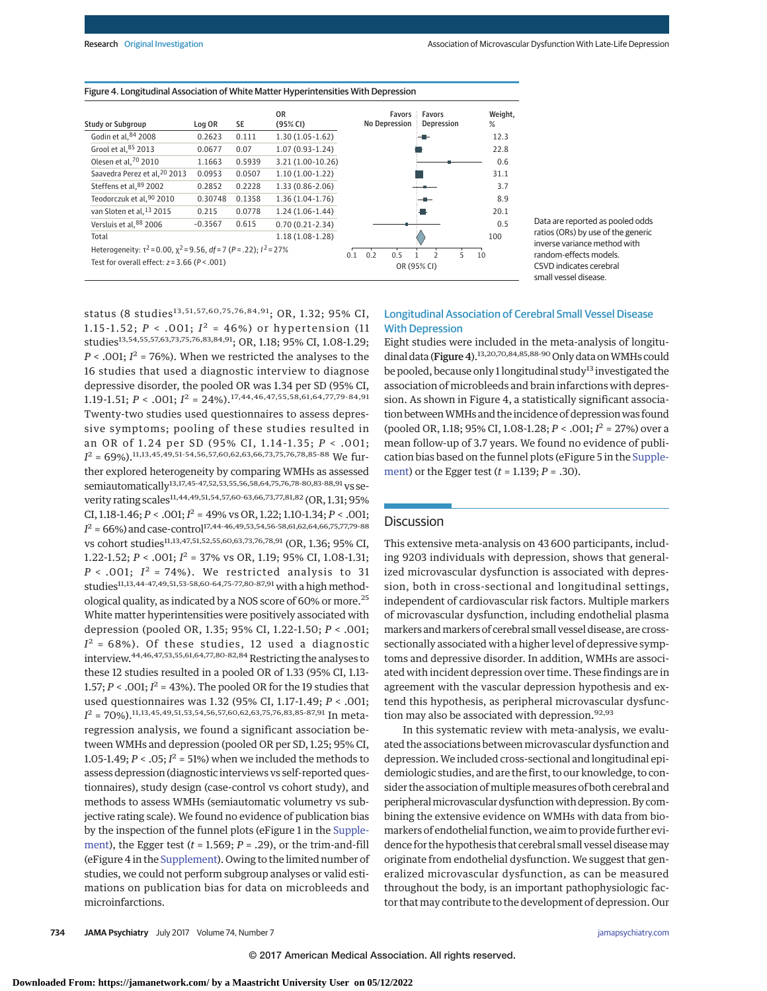| Study or Subaroup                                                                                                                    | Log OR    | SE     | 0R<br>(95% CI)      | <b>Favors</b><br>No Depression | Favors<br>Depression                         | Weight,<br>% |
|--------------------------------------------------------------------------------------------------------------------------------------|-----------|--------|---------------------|--------------------------------|----------------------------------------------|--------------|
| Godin et al, 84 2008                                                                                                                 | 0.2623    | 0.111  | $1.30(1.05-1.62)$   |                                |                                              | 12.3         |
| Grool et al. <sup>85</sup> 2013                                                                                                      | 0.0677    | 0.07   | $1.07(0.93-1.24)$   |                                |                                              | 22.8         |
| Olesen et al, 70 2010                                                                                                                | 1.1663    | 0.5939 | 3.21 (1.00-10.26)   |                                |                                              | 0.6          |
| Saavedra Perez et al, <sup>20</sup> 2013                                                                                             | 0.0953    | 0.0507 | $1.10(1.00-1.22)$   |                                |                                              | 31.1         |
| Steffens et al. <sup>89</sup> 2002                                                                                                   | 0.2852    | 0.2228 | $1.33(0.86 - 2.06)$ |                                |                                              | 3.7          |
| Teodorczuk et al, 90 2010                                                                                                            | 0.30748   | 0.1358 | $1.36(1.04-1.76)$   |                                |                                              | 8.9          |
| van Sloten et al, <sup>13</sup> 2015                                                                                                 | 0.215     | 0.0778 | $1.24(1.06-1.44)$   |                                |                                              | 20.1         |
| Versluis et al, 88 2006                                                                                                              | $-0.3567$ | 0.615  | $0.70(0.21-2.34)$   |                                |                                              | 0.5          |
| Total                                                                                                                                |           |        | $1.18(1.08-1.28)$   |                                |                                              | 100          |
| Heterogeneity: $\tau^2$ = 0.00, $\chi^2$ = 9.56, df = 7 (P = .22); $I^2$ = 27%<br>Test for overall effect: $z = 3.66$ ( $P < .001$ ) |           |        |                     | 0.1<br>0.2<br>0.5              | 5<br>$\overline{\phantom{a}}$<br>OR (95% CI) | 10           |

#### Figure 4. Longitudinal Association of White Matter Hyperintensities With Depression

Data are reported as pooled odds ratios (ORs) by use of the generic inverse variance method with random-effects models. CSVD indicates cerebral small vessel disease.

status (8 studies<sup>13,51,57,60,75,76,84,91</sup>; OR, 1.32; 95% CI, 1.15-1.52;  $P < .001$ ;  $I^2 = 46\%$ ) or hypertension (11 studies<sup>13,54,55,57,63,73,75,76,83,84,91</sup>; OR, 1.18; 95% CI, 1.08-1.29;  $P < .001$ ;  $I^2 = 76\%$ ). When we restricted the analyses to the 16 studies that used a diagnostic interview to diagnose depressive disorder, the pooled OR was 1.34 per SD (95% CI, 1.19-1.51;  $P < .001$ ;  $I^2 = 24\%$ ).<sup>17,44,46,47,55,58,61,64,77,79-84,91</sup> Twenty-two studies used questionnaires to assess depressive symptoms; pooling of these studies resulted in an OR of 1.24 per SD (95% CI, 1.14-1.35; *P* < .001;  $I^2 = 69\%)$ .<sup>11,13,45,49,51-54,56,57,60,62,63,66,73,75,76,78,85-88 We fur-</sup> ther explored heterogeneity by comparing WMHs as assessed semiautomatically<sup>13,17,45-47,52,53,55,56,58,64,75,76,78-80,83-88,91</sup> vs severity rating scales<sup>11,44,49,51,54,57,60-63,66,73,77,81,82</sup> (OR, 1.31; 95%) CI, 1.18-1.46;  $P < .001$ ;  $I^2 = 49\%$  vs OR, 1.22; 1.10-1.34;  $P < .001$ ;  $I^2$  = 66%) and case-control<sup>17,44-46,49,53,54,56-58,61,62,64,66,75,77,79-88</sup> vs cohort studies<sup>11,13,47,51,52,55,60,63,73,76,78,91</sup> (OR, 1.36; 95% CI, 1.22-1.52; *P* < .001; *I* <sup>2</sup> = 37% vs OR, 1.19; 95% CI, 1.08-1.31;  $P < .001$ ;  $I^2 = 74\%$ ). We restricted analysis to 31 studies<sup>11,13,44-47,49,51,53-58,60-64,75-77,80-87,91</sup> with a high methodological quality, as indicated by a NOS score of 60% or more.25 White matter hyperintensities were positively associated with depression (pooled OR, 1.35; 95% CI, 1.22-1.50; *P* < .001;  $I<sup>2</sup> = 68%$ ). Of these studies, 12 used a diagnostic interview.<sup>44,46,47,53,55,61,64,77,80-82,84</sup> Restricting the analyses to these 12 studies resulted in a pooled OR of 1.33 (95% CI, 1.13- 1.57;  $P < .001$ ;  $I^2 = 43$ %). The pooled OR for the 19 studies that used questionnaires was 1.32 (95% CI, 1.17-1.49; *P* < .001;  $I^2$  = 70%).<sup>11,13,45,49,51,53,54,56,57,60,62,63,75,76,83,85-87,91 In meta-</sup> regression analysis, we found a significant association between WMHs and depression (pooled OR per SD, 1.25; 95% CI, 1.05-1.49;  $P < .05$ ;  $I^2 = 51$ %) when we included the methods to assess depression (diagnostic interviews vs self-reported questionnaires), study design (case-control vs cohort study), and methods to assess WMHs (semiautomatic volumetry vs subjective rating scale). We found no evidence of publication bias by the inspection of the funnel plots (eFigure 1 in the [Supple](http://jama.jamanetwork.com/article.aspx?doi=10.1001/jamapsychiatry.2017.0984&utm_campaign=articlePDF%26utm_medium=articlePDFlink%26utm_source=articlePDF%26utm_content=jamapsychiatry.2017.0984)[ment\)](http://jama.jamanetwork.com/article.aspx?doi=10.1001/jamapsychiatry.2017.0984&utm_campaign=articlePDF%26utm_medium=articlePDFlink%26utm_source=articlePDF%26utm_content=jamapsychiatry.2017.0984), the Egger test  $(t = 1.569; P = .29)$ , or the trim-and-fill (eFigure 4 in the [Supplement\)](http://jama.jamanetwork.com/article.aspx?doi=10.1001/jamapsychiatry.2017.0984&utm_campaign=articlePDF%26utm_medium=articlePDFlink%26utm_source=articlePDF%26utm_content=jamapsychiatry.2017.0984). Owing to the limited number of studies, we could not perform subgroup analyses or valid estimations on publication bias for data on microbleeds and microinfarctions.

## Longitudinal Association of Cerebral Small Vessel Disease With Depression

Eight studies were included in the meta-analysis of longitudinal data (Figure 4).<sup>13,20,70,84,85,88-90</sup> Only data on WMHs could be pooled, because only 1 longitudinal study<sup>13</sup> investigated the association of microbleeds and brain infarctions with depression. As shown in Figure 4, a statistically significant association between WMHs and the incidence of depression was found (pooled OR, 1.18; 95% CI, 1.08-1.28; *P* < .001; *I* <sup>2</sup> = 27%) over a mean follow-up of 3.7 years. We found no evidence of publication bias based on the funnel plots (eFigure 5 in the [Supple](http://jama.jamanetwork.com/article.aspx?doi=10.1001/jamapsychiatry.2017.0984&utm_campaign=articlePDF%26utm_medium=articlePDFlink%26utm_source=articlePDF%26utm_content=jamapsychiatry.2017.0984)[ment\)](http://jama.jamanetwork.com/article.aspx?doi=10.1001/jamapsychiatry.2017.0984&utm_campaign=articlePDF%26utm_medium=articlePDFlink%26utm_source=articlePDF%26utm_content=jamapsychiatry.2017.0984) or the Egger test (*t* = 1.139; *P* = .30).

#### **Discussion**

This extensive meta-analysis on 43 600 participants, including 9203 individuals with depression, shows that generalized microvascular dysfunction is associated with depression, both in cross-sectional and longitudinal settings, independent of cardiovascular risk factors. Multiple markers of microvascular dysfunction, including endothelial plasma markers andmarkers of cerebral small vessel disease, are crosssectionally associated with a higher level of depressive symptoms and depressive disorder. In addition, WMHs are associated with incident depression over time. These findings are in agreement with the vascular depression hypothesis and extend this hypothesis, as peripheral microvascular dysfunction may also be associated with depression.<sup>92,93</sup>

In this systematic review with meta-analysis, we evaluated the associations between microvascular dysfunction and depression.We included cross-sectional and longitudinal epidemiologic studies, and are the first, to our knowledge, to consider the association of multiple measures of both cerebral and peripheral microvascular dysfunction with depression. By combining the extensive evidence on WMHs with data from biomarkers of endothelial function, we aim to provide further evidence for the hypothesis that cerebral small vessel diseasemay originate from endothelial dysfunction. We suggest that generalized microvascular dysfunction, as can be measured throughout the body, is an important pathophysiologic factor that may contribute to the development of depression. Our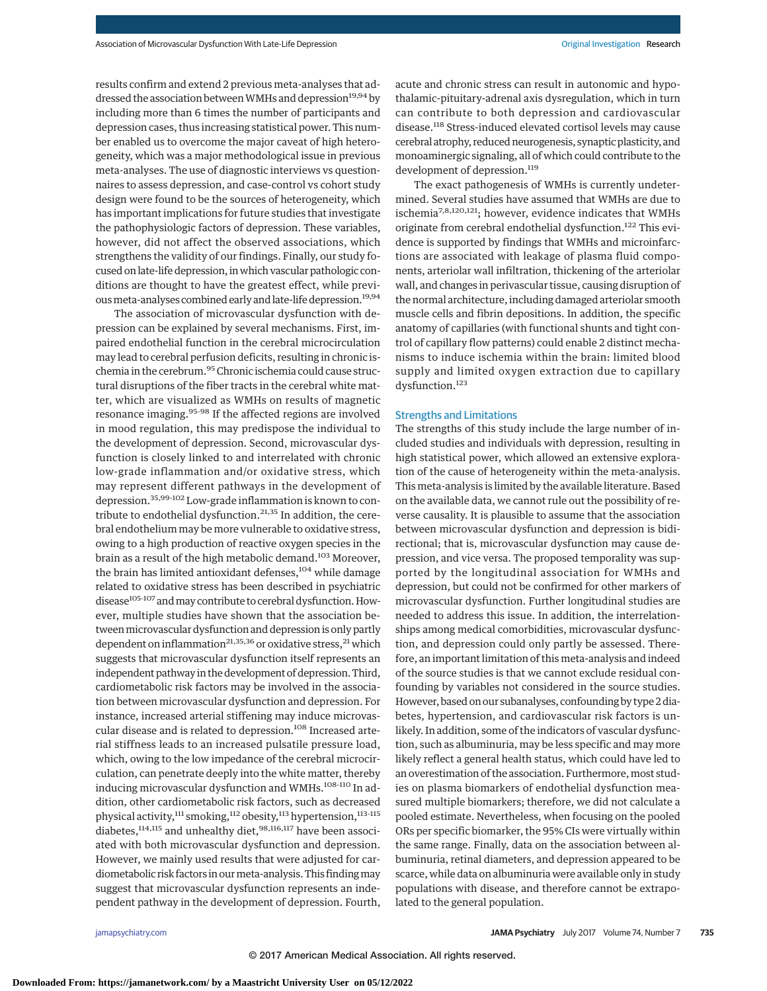results confirm and extend 2 previous meta-analyses that addressed the association between WMHs and depression<sup>19,94</sup> by including more than 6 times the number of participants and depression cases, thus increasing statistical power. This number enabled us to overcome the major caveat of high heterogeneity, which was a major methodological issue in previous meta-analyses. The use of diagnostic interviews vs questionnaires to assess depression, and case-control vs cohort study design were found to be the sources of heterogeneity, which has important implications for future studies that investigate the pathophysiologic factors of depression. These variables, however, did not affect the observed associations, which strengthens the validity of our findings. Finally, our study focused on late-life depression, in which vascular pathologic conditions are thought to have the greatest effect, while previous meta-analyses combined early and late-life depression.<sup>19,94</sup>

The association of microvascular dysfunction with depression can be explained by several mechanisms. First, impaired endothelial function in the cerebral microcirculation may lead to cerebral perfusion deficits, resulting in chronic ischemia in the cerebrum.<sup>95</sup> Chronic ischemia could cause structural disruptions of the fiber tracts in the cerebral white matter, which are visualized as WMHs on results of magnetic resonance imaging.95-98 If the affected regions are involved in mood regulation, this may predispose the individual to the development of depression. Second, microvascular dysfunction is closely linked to and interrelated with chronic low-grade inflammation and/or oxidative stress, which may represent different pathways in the development of depression.35,99-102 Low-grade inflammation is known to contribute to endothelial dysfunction.<sup>21,35</sup> In addition, the cerebral endothelium may be more vulnerable to oxidative stress, owing to a high production of reactive oxygen species in the brain as a result of the high metabolic demand.<sup>103</sup> Moreover, the brain has limited antioxidant defenses,<sup>104</sup> while damage related to oxidative stress has been described in psychiatric disease<sup>105-107</sup> and may contribute to cerebral dysfunction. However, multiple studies have shown that the association between microvascular dysfunction and depression is only partly dependent on inflammation<sup>21,35,36</sup> or oxidative stress,  $^{21}$  which suggests that microvascular dysfunction itself represents an independent pathway in the development of depression. Third, cardiometabolic risk factors may be involved in the association between microvascular dysfunction and depression. For instance, increased arterial stiffening may induce microvascular disease and is related to depression.<sup>108</sup> Increased arterial stiffness leads to an increased pulsatile pressure load, which, owing to the low impedance of the cerebral microcirculation, can penetrate deeply into the white matter, thereby inducing microvascular dysfunction and WMHs.<sup>108-110</sup> In addition, other cardiometabolic risk factors, such as decreased physical activity,<sup>111</sup> smoking,<sup>112</sup> obesity,<sup>113</sup> hypertension,<sup>113-115</sup> diabetes,<sup>114,115</sup> and unhealthy diet,<sup>98,116,117</sup> have been associated with both microvascular dysfunction and depression. However, we mainly used results that were adjusted for cardiometabolic risk factors in ourmeta-analysis. This findingmay suggest that microvascular dysfunction represents an independent pathway in the development of depression. Fourth,

acute and chronic stress can result in autonomic and hypothalamic-pituitary-adrenal axis dysregulation, which in turn can contribute to both depression and cardiovascular disease.<sup>118</sup> Stress-induced elevated cortisol levels may cause cerebral atrophy, reduced neurogenesis, synaptic plasticity, and monoaminergic signaling, all of which could contribute to the development of depression.<sup>119</sup>

The exact pathogenesis of WMHs is currently undetermined. Several studies have assumed that WMHs are due to ischemia<sup>7,8,120,121</sup>; however, evidence indicates that WMHs originate from cerebral endothelial dysfunction.<sup>122</sup> This evidence is supported by findings that WMHs and microinfarctions are associated with leakage of plasma fluid components, arteriolar wall infiltration, thickening of the arteriolar wall, and changes in perivascular tissue, causing disruption of the normal architecture, including damaged arteriolar smooth muscle cells and fibrin depositions. In addition, the specific anatomy of capillaries (with functional shunts and tight control of capillary flow patterns) could enable 2 distinct mechanisms to induce ischemia within the brain: limited blood supply and limited oxygen extraction due to capillary dysfunction.<sup>123</sup>

#### Strengths and Limitations

The strengths of this study include the large number of included studies and individuals with depression, resulting in high statistical power, which allowed an extensive exploration of the cause of heterogeneity within the meta-analysis. This meta-analysis is limited by the available literature. Based on the available data, we cannot rule out the possibility of reverse causality. It is plausible to assume that the association between microvascular dysfunction and depression is bidirectional; that is, microvascular dysfunction may cause depression, and vice versa. The proposed temporality was supported by the longitudinal association for WMHs and depression, but could not be confirmed for other markers of microvascular dysfunction. Further longitudinal studies are needed to address this issue. In addition, the interrelationships among medical comorbidities, microvascular dysfunction, and depression could only partly be assessed. Therefore, an important limitation of this meta-analysis and indeed of the source studies is that we cannot exclude residual confounding by variables not considered in the source studies. However, based on our subanalyses, confounding by type 2 diabetes, hypertension, and cardiovascular risk factors is unlikely. In addition, some of the indicators of vascular dysfunction, such as albuminuria, may be less specific and may more likely reflect a general health status, which could have led to an overestimation of the association. Furthermore, most studies on plasma biomarkers of endothelial dysfunction measured multiple biomarkers; therefore, we did not calculate a pooled estimate. Nevertheless, when focusing on the pooled ORs per specific biomarker, the 95% CIs were virtually within the same range. Finally, data on the association between albuminuria, retinal diameters, and depression appeared to be scarce, while data on albuminuria were available only in study populations with disease, and therefore cannot be extrapolated to the general population.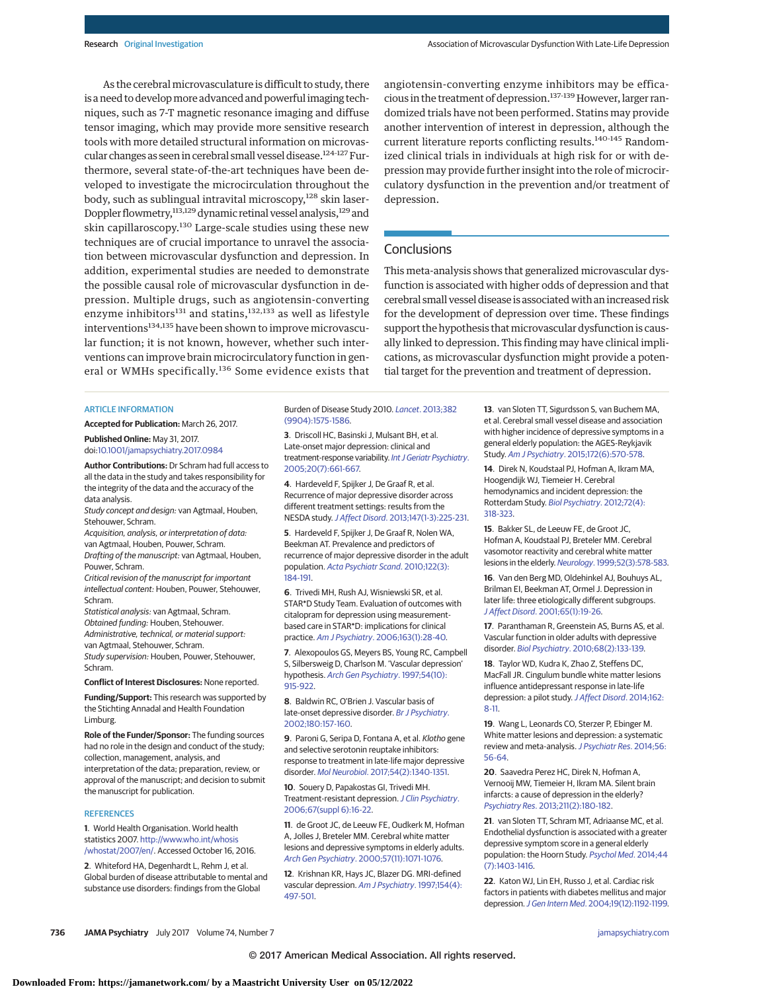As the cerebral microvasculature is difficult to study, there is a need to develop more advanced and powerful imaging techniques, such as 7-T magnetic resonance imaging and diffuse tensor imaging, which may provide more sensitive research tools with more detailed structural information on microvascular changes as seen in cerebral small vessel disease.<sup>124-127</sup> Furthermore, several state-of-the-art techniques have been developed to investigate the microcirculation throughout the body, such as sublingual intravital microscopy,<sup>128</sup> skin laser-Doppler flowmetry,<sup>113,129</sup> dynamic retinal vessel analysis,<sup>129</sup> and skin capillaroscopy.<sup>130</sup> Large-scale studies using these new techniques are of crucial importance to unravel the association between microvascular dysfunction and depression. In addition, experimental studies are needed to demonstrate the possible causal role of microvascular dysfunction in depression. Multiple drugs, such as angiotensin-converting enzyme inhibitors<sup>131</sup> and statins,<sup>132,133</sup> as well as lifestyle interventions<sup>134,135</sup> have been shown to improve microvascular function; it is not known, however, whether such interventions can improve brain microcirculatory function in general or WMHs specifically.<sup>136</sup> Some evidence exists that angiotensin-converting enzyme inhibitors may be efficacious in the treatment of depression.<sup>137-139</sup> However, larger randomized trials have not been performed. Statins may provide another intervention of interest in depression, although the current literature reports conflicting results.<sup>140-145</sup> Randomized clinical trials in individuals at high risk for or with depression may provide further insight into the role of microcirculatory dysfunction in the prevention and/or treatment of depression.

## **Conclusions**

This meta-analysis shows that generalized microvascular dysfunction is associated with higher odds of depression and that cerebral small vessel disease is associated with an increased risk for the development of depression over time. These findings support the hypothesis that microvascular dysfunction is causally linked to depression. This finding may have clinical implications, as microvascular dysfunction might provide a potential target for the prevention and treatment of depression.

#### ARTICLE INFORMATION

**Accepted for Publication:** March 26, 2017.

**Published Online:** May 31, 2017. doi[:10.1001/jamapsychiatry.2017.0984](http://jama.jamanetwork.com/article.aspx?doi=10.1001/jamapsychiatry.2017.0984&utm_campaign=articlePDF%26utm_medium=articlePDFlink%26utm_source=articlePDF%26utm_content=jamapsychiatry.2017.0984)

**Author Contributions:** Dr Schram had full access to all the data in the study and takes responsibility for the integrity of the data and the accuracy of the data analysis.

Study concept and design: van Agtmaal, Houben, Stehouwer, Schram.

Acquisition, analysis, or interpretation of data: van Agtmaal, Houben, Pouwer, Schram. Drafting of the manuscript: van Agtmaal, Houben, Pouwer, Schram.

Critical revision of the manuscript for important intellectual content: Houben, Pouwer, Stehouwer, Schram.

Statistical analysis: van Agtmaal, Schram. Obtained funding: Houben, Stehouwer. Administrative, technical, or material support: van Agtmaal, Stehouwer, Schram. Study supervision: Houben, Pouwer, Stehouwer,

Schram.

**Conflict of Interest Disclosures:** None reported.

**Funding/Support:** This research was supported by the Stichting Annadal and Health Foundation Limburg.

**Role of the Funder/Sponsor:** The funding sources had no role in the design and conduct of the study; collection, management, analysis, and interpretation of the data; preparation, review, or approval of the manuscript; and decision to submit the manuscript for publication.

#### **REFERENCES**

**1**. World Health Organisation. World health statistics 2007. [http://www.who.int/whosis](http://www.who.int/whosis/whostat/2007/en/) [/whostat/2007/en/.](http://www.who.int/whosis/whostat/2007/en/) Accessed October 16, 2016.

**2**. Whiteford HA, Degenhardt L, Rehm J, et al. Global burden of disease attributable to mental and substance use disorders: findings from the Global

Burden of Disease Study 2010. Lancet[. 2013;382](https://www.ncbi.nlm.nih.gov/pubmed/23993280) [\(9904\):1575-1586.](https://www.ncbi.nlm.nih.gov/pubmed/23993280)

**3**. Driscoll HC, Basinski J, Mulsant BH, et al. Late-onset major depression: clinical and treatment-response variability. [Int J Geriatr Psychiatry](https://www.ncbi.nlm.nih.gov/pubmed/16021664). [2005;20\(7\):661-667.](https://www.ncbi.nlm.nih.gov/pubmed/16021664)

**4**. Hardeveld F, Spijker J, De Graaf R, et al. Recurrence of major depressive disorder across different treatment settings: results from the NESDA study.J Affect Disord[. 2013;147\(1-3\):225-231.](https://www.ncbi.nlm.nih.gov/pubmed/23218899)

**5**. Hardeveld F, Spijker J, De Graaf R, Nolen WA, Beekman AT. Prevalence and predictors of recurrence of major depressive disorder in the adult population. [Acta Psychiatr Scand](https://www.ncbi.nlm.nih.gov/pubmed/20003092). 2010;122(3): [184-191.](https://www.ncbi.nlm.nih.gov/pubmed/20003092)

**6**. Trivedi MH, Rush AJ, Wisniewski SR, et al. STAR\*D Study Team. Evaluation of outcomes with citalopram for depression using measurementbased care in STAR\*D: implications for clinical practice. Am J Psychiatry[. 2006;163\(1\):28-40.](https://www.ncbi.nlm.nih.gov/pubmed/16390886)

**7**. Alexopoulos GS, Meyers BS, Young RC, Campbell S, Silbersweig D, Charlson M. 'Vascular depression' hypothesis. [Arch Gen Psychiatry](https://www.ncbi.nlm.nih.gov/pubmed/9337771). 1997;54(10): [915-922.](https://www.ncbi.nlm.nih.gov/pubmed/9337771)

**8**. Baldwin RC, O'Brien J. Vascular basis of late-onset depressive disorder. [Br J Psychiatry](https://www.ncbi.nlm.nih.gov/pubmed/11823328). [2002;180:157-160.](https://www.ncbi.nlm.nih.gov/pubmed/11823328)

**9**. Paroni G, Seripa D, Fontana A, et al. Klotho gene and selective serotonin reuptake inhibitors: response to treatment in late-life major depressive disorder. Mol Neurobiol[. 2017;54\(2\):1340-1351.](https://www.ncbi.nlm.nih.gov/pubmed/26843110)

**10**. Souery D, Papakostas GI, Trivedi MH. Treatment-resistant depression. [J Clin Psychiatry](https://www.ncbi.nlm.nih.gov/pubmed/16848672). [2006;67\(suppl 6\):16-22.](https://www.ncbi.nlm.nih.gov/pubmed/16848672)

**11**. de Groot JC, de Leeuw FE, Oudkerk M, Hofman A, Jolles J, Breteler MM. Cerebral white matter lesions and depressive symptoms in elderly adults. Arch Gen Psychiatry[. 2000;57\(11\):1071-1076.](https://www.ncbi.nlm.nih.gov/pubmed/11074873)

**12**. Krishnan KR, Hays JC, Blazer DG. MRI-defined vascular depression. [Am J Psychiatry](https://www.ncbi.nlm.nih.gov/pubmed/9090336). 1997;154(4): [497-501.](https://www.ncbi.nlm.nih.gov/pubmed/9090336)

**13**. van Sloten TT, Sigurdsson S, van Buchem MA, et al. Cerebral small vessel disease and association with higher incidence of depressive symptoms in a general elderly population: the AGES-Reykjavik Study. Am J Psychiatry[. 2015;172\(6\):570-578.](https://www.ncbi.nlm.nih.gov/pubmed/25734354)

**14**. Direk N, Koudstaal PJ, Hofman A, Ikram MA, Hoogendijk WJ, Tiemeier H. Cerebral hemodynamics and incident depression: the Rotterdam Study. [Biol Psychiatry](https://www.ncbi.nlm.nih.gov/pubmed/22381733). 2012;72(4): [318-323.](https://www.ncbi.nlm.nih.gov/pubmed/22381733)

**15**. Bakker SL, de Leeuw FE, de Groot JC, Hofman A, Koudstaal PJ, Breteler MM. Cerebral vasomotor reactivity and cerebral white matter lesions in the elderly. Neurology[. 1999;52\(3\):578-583.](https://www.ncbi.nlm.nih.gov/pubmed/10025791)

**16**. Van den Berg MD, Oldehinkel AJ, Bouhuys AL, Brilman EI, Beekman AT, Ormel J. Depression in later life: three etiologically different subgroups. J Affect Disord[. 2001;65\(1\):19-26.](https://www.ncbi.nlm.nih.gov/pubmed/11426505)

**17**. Paranthaman R, Greenstein AS, Burns AS, et al. Vascular function in older adults with depressive disorder. Biol Psychiatry[. 2010;68\(2\):133-139.](https://www.ncbi.nlm.nih.gov/pubmed/20609838)

**18**. Taylor WD, Kudra K, Zhao Z, Steffens DC, MacFall JR. Cingulum bundle white matter lesions influence antidepressant response in late-life depression: a pilot study.[J Affect Disord](https://www.ncbi.nlm.nih.gov/pubmed/24766997). 2014;162: [8-11.](https://www.ncbi.nlm.nih.gov/pubmed/24766997)

**19**. Wang L, Leonards CO, Sterzer P, Ebinger M. White matter lesions and depression: a systematic review and meta-analysis. [J Psychiatr Res](https://www.ncbi.nlm.nih.gov/pubmed/24948437). 2014;56: [56-64.](https://www.ncbi.nlm.nih.gov/pubmed/24948437)

**20**. Saavedra Perez HC, Direk N, Hofman A, Vernooij MW, Tiemeier H, Ikram MA. Silent brain infarcts: a cause of depression in the elderly? Psychiatry Res[. 2013;211\(2\):180-182.](https://www.ncbi.nlm.nih.gov/pubmed/23154097)

**21**. van Sloten TT, Schram MT, Adriaanse MC, et al. Endothelial dysfunction is associated with a greater depressive symptom score in a general elderly population: the Hoorn Study. [Psychol Med](https://www.ncbi.nlm.nih.gov/pubmed/23942242). 2014;44 [\(7\):1403-1416.](https://www.ncbi.nlm.nih.gov/pubmed/23942242)

**22**. Katon WJ, Lin EH, Russo J, et al. Cardiac risk factors in patients with diabetes mellitus and major depression.J Gen Intern Med[. 2004;19\(12\):1192-1199.](https://www.ncbi.nlm.nih.gov/pubmed/15610329)

**736 JAMA Psychiatry** July 2017 Volume 74, Number 7 **(Reprinted)** [jamapsychiatry.com](http://www.jamapsychiatry.com/?utm_campaign=articlePDF%26utm_medium=articlePDFlink%26utm_source=articlePDF%26utm_content=jamapsychiatry.2017.0984)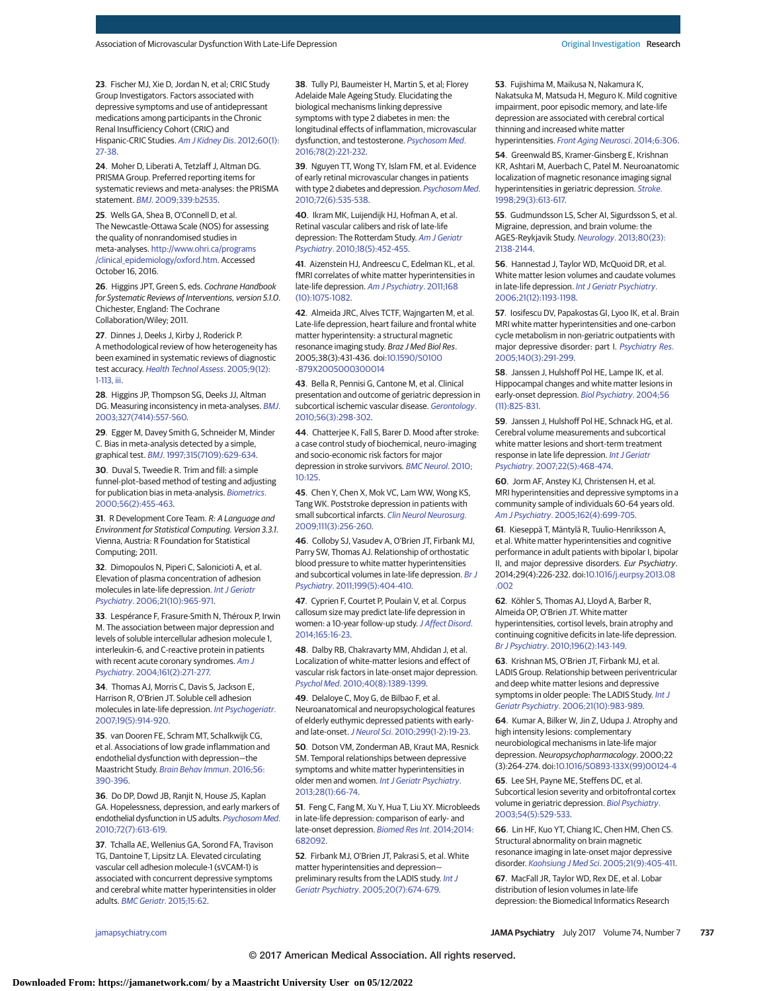**23**. Fischer MJ, Xie D, Jordan N, et al; CRIC Study Group Investigators. Factors associated with depressive symptoms and use of antidepressant medications among participants in the Chronic Renal Insufficiency Cohort (CRIC) and Hispanic-CRIC Studies. [Am J Kidney Dis](https://www.ncbi.nlm.nih.gov/pubmed/22497791). 2012;60(1): [27-38.](https://www.ncbi.nlm.nih.gov/pubmed/22497791)

**24**. Moher D, Liberati A, Tetzlaff J, Altman DG. PRISMA Group. Preferred reporting items for systematic reviews and meta-analyses: the PRISMA statement. BMJ[. 2009;339:b2535.](https://www.ncbi.nlm.nih.gov/pubmed/19622551)

**25**. Wells GA, Shea B, O'Connell D, et al. The Newcastle-Ottawa Scale (NOS) for assessing the quality of nonrandomised studies in meta-analyses. [http://www.ohri.ca/programs](http://www.ohri.ca/programs/clinical_epidemiology/oxford.htm) [/clinical\\_epidemiology/oxford.htm.](http://www.ohri.ca/programs/clinical_epidemiology/oxford.htm) Accessed October 16, 2016.

**26**. Higgins JPT, Green S, eds. Cochrane Handbook for Systematic Reviews of Interventions, version 5.1.0. Chichester, England: The Cochrane Collaboration/Wiley; 2011.

**27**. Dinnes J, Deeks J, Kirby J, Roderick P. A methodological review of how heterogeneity has been examined in systematic reviews of diagnostic test accuracy. [Health Technol Assess](https://www.ncbi.nlm.nih.gov/pubmed/15774235). 2005;9(12): [1-113, iii.](https://www.ncbi.nlm.nih.gov/pubmed/15774235)

**28**. Higgins JP, Thompson SG, Deeks JJ, Altman DG. Measuring inconsistency in meta-analyses. [BMJ](https://www.ncbi.nlm.nih.gov/pubmed/12958120). [2003;327\(7414\):557-560.](https://www.ncbi.nlm.nih.gov/pubmed/12958120)

**29**. Egger M, Davey Smith G, Schneider M, Minder C. Bias in meta-analysis detected by a simple, graphical test. BMJ[. 1997;315\(7109\):629-634.](https://www.ncbi.nlm.nih.gov/pubmed/9310563)

**30**. Duval S, Tweedie R. Trim and fill: a simple funnel-plot–based method of testing and adjusting for publication bias in meta-analysis. [Biometrics](https://www.ncbi.nlm.nih.gov/pubmed/10877304). [2000;56\(2\):455-463.](https://www.ncbi.nlm.nih.gov/pubmed/10877304)

**31**. R Development Core Team. R: A Language and Environment for Statistical Computing. Version 3.3.1. Vienna, Austria: R Foundation for Statistical Computing; 2011.

**32**. Dimopoulos N, Piperi C, Salonicioti A, et al. Elevation of plasma concentration of adhesion molecules in late-life depression. [Int J Geriatr](https://www.ncbi.nlm.nih.gov/pubmed/16927406) Psychiatry[. 2006;21\(10\):965-971.](https://www.ncbi.nlm.nih.gov/pubmed/16927406)

**33**. Lespérance F, Frasure-Smith N, Théroux P, Irwin M. The association between major depression and levels of soluble intercellular adhesion molecule 1, interleukin-6, and C-reactive protein in patients with recent acute coronary syndromes. [Am J](https://www.ncbi.nlm.nih.gov/pubmed/14754776) Psychiatry[. 2004;161\(2\):271-277.](https://www.ncbi.nlm.nih.gov/pubmed/14754776)

**34**. Thomas AJ, Morris C, Davis S, Jackson E, Harrison R, O'Brien JT. Soluble cell adhesion molecules in late-life depression. [Int Psychogeriatr](https://www.ncbi.nlm.nih.gov/pubmed/17201994). [2007;19\(5\):914-920.](https://www.ncbi.nlm.nih.gov/pubmed/17201994)

**35**. van Dooren FE, Schram MT, Schalkwijk CG, et al. Associations of low grade inflammation and endothelial dysfunction with depression—the Maastricht Study. [Brain Behav Immun](https://www.ncbi.nlm.nih.gov/pubmed/26970354). 2016;56: [390-396.](https://www.ncbi.nlm.nih.gov/pubmed/26970354)

**36**. Do DP, Dowd JB, Ranjit N, House JS, Kaplan GA. Hopelessness, depression, and early markers of endothelial dysfunction in US adults. [Psychosom Med](https://www.ncbi.nlm.nih.gov/pubmed/20498292). [2010;72\(7\):613-619.](https://www.ncbi.nlm.nih.gov/pubmed/20498292)

**37**. Tchalla AE, Wellenius GA, Sorond FA, Travison TG, Dantoine T, Lipsitz LA. Elevated circulating vascular cell adhesion molecule-1 (sVCAM-1) is associated with concurrent depressive symptoms and cerebral white matter hyperintensities in older adults. BMC Geriatr[. 2015;15:62.](https://www.ncbi.nlm.nih.gov/pubmed/26040277)

**38**. Tully PJ, Baumeister H, Martin S, et al; Florey Adelaide Male Ageing Study. Elucidating the biological mechanisms linking depressive symptoms with type 2 diabetes in men: the longitudinal effects of inflammation, microvascular dysfunction, and testosterone. [Psychosom Med](https://www.ncbi.nlm.nih.gov/pubmed/26575859). [2016;78\(2\):221-232.](https://www.ncbi.nlm.nih.gov/pubmed/26575859)

**39**. Nguyen TT, Wong TY, Islam FM, et al. Evidence of early retinal microvascular changes in patients with type 2 diabetes and depression. [Psychosom Med](https://www.ncbi.nlm.nih.gov/pubmed/20368470). [2010;72\(6\):535-538.](https://www.ncbi.nlm.nih.gov/pubmed/20368470)

**40**. Ikram MK, Luijendijk HJ, Hofman A, et al. Retinal vascular calibers and risk of late-life depression: The Rotterdam Study. [Am J Geriatr](https://www.ncbi.nlm.nih.gov/pubmed/20429085) Psychiatry[. 2010;18\(5\):452-455.](https://www.ncbi.nlm.nih.gov/pubmed/20429085)

**41**. Aizenstein HJ, Andreescu C, Edelman KL, et al. fMRI correlates of white matter hyperintensities in late-life depression. [Am J Psychiatry](https://www.ncbi.nlm.nih.gov/pubmed/21799066). 2011;168 [\(10\):1075-1082.](https://www.ncbi.nlm.nih.gov/pubmed/21799066)

**42**. Almeida JRC, Alves TCTF, Wajngarten M, et al. Late-life depression, heart failure and frontal white matter hyperintensity: a structural magnetic resonance imaging study. Braz J Med Biol Res. 2005;38(3):431-436. doi[:10.1590/S0100](http://dx.doi.org/10.1590/S0100-879X2005000300014) [-879X2005000300014](http://dx.doi.org/10.1590/S0100-879X2005000300014)

**43**. Bella R, Pennisi G, Cantone M, et al. Clinical presentation and outcome of geriatric depression in subcortical ischemic vascular disease. [Gerontology](https://www.ncbi.nlm.nih.gov/pubmed/20051663). [2010;56\(3\):298-302.](https://www.ncbi.nlm.nih.gov/pubmed/20051663)

**44**. Chatterjee K, Fall S, Barer D. Mood after stroke: a case control study of biochemical, neuro-imaging and socio-economic risk factors for major depression in stroke survivors. [BMC Neurol](https://www.ncbi.nlm.nih.gov/pubmed/21192808). 2010; [10:125.](https://www.ncbi.nlm.nih.gov/pubmed/21192808)

**45**. Chen Y, Chen X, Mok VC, Lam WW, Wong KS, Tang WK. Poststroke depression in patients with small subcortical infarcts. [Clin Neurol Neurosurg](https://www.ncbi.nlm.nih.gov/pubmed/19036495). [2009;111\(3\):256-260.](https://www.ncbi.nlm.nih.gov/pubmed/19036495)

**46**. Colloby SJ, Vasudev A, O'Brien JT, Firbank MJ, Parry SW, Thomas AJ. Relationship of orthostatic blood pressure to white matter hyperintensities and subcortical volumes in late-life depression. [Br J](https://www.ncbi.nlm.nih.gov/pubmed/21903666) Psychiatry[. 2011;199\(5\):404-410.](https://www.ncbi.nlm.nih.gov/pubmed/21903666)

**47**. Cyprien F, Courtet P, Poulain V, et al. Corpus callosum size may predict late-life depression in women: a 10-year follow-up study. [J Affect Disord](https://www.ncbi.nlm.nih.gov/pubmed/24882172). [2014;165:16-23.](https://www.ncbi.nlm.nih.gov/pubmed/24882172)

**48**. Dalby RB, Chakravarty MM, Ahdidan J, et al. Localization of white-matter lesions and effect of vascular risk factors in late-onset major depression. Psychol Med[. 2010;40\(8\):1389-1399.](https://www.ncbi.nlm.nih.gov/pubmed/19895719)

**49**. Delaloye C, Moy G, de Bilbao F, et al. Neuroanatomical and neuropsychological features of elderly euthymic depressed patients with earlyand late-onset.J Neurol Sci[. 2010;299\(1-2\):19-23.](https://www.ncbi.nlm.nih.gov/pubmed/20850136)

**50**. Dotson VM, Zonderman AB, Kraut MA, Resnick SM. Temporal relationships between depressive symptoms and white matter hyperintensities in older men and women. [Int J Geriatr Psychiatry](https://www.ncbi.nlm.nih.gov/pubmed/22415749). [2013;28\(1\):66-74.](https://www.ncbi.nlm.nih.gov/pubmed/22415749)

**51**. Feng C, Fang M, Xu Y, Hua T, Liu XY. Microbleeds in late-life depression: comparison of early- and late-onset depression. [Biomed Res Int](https://www.ncbi.nlm.nih.gov/pubmed/24719883). 2014;2014: [682092.](https://www.ncbi.nlm.nih.gov/pubmed/24719883)

**52**. Firbank MJ, O'Brien JT, Pakrasi S, et al. White matter hyperintensities and depression preliminary results from the LADIS study. [Int J](https://www.ncbi.nlm.nih.gov/pubmed/16021663) Geriatr Psychiatry[. 2005;20\(7\):674-679.](https://www.ncbi.nlm.nih.gov/pubmed/16021663)

**53**. Fujishima M, Maikusa N, Nakamura K, Nakatsuka M, Matsuda H, Meguro K. Mild cognitive impairment, poor episodic memory, and late-life depression are associated with cerebral cortical thinning and increased white matter hyperintensities. [Front Aging Neurosci](https://www.ncbi.nlm.nih.gov/pubmed/25426066). 2014;6:306.

**54**. Greenwald BS, Kramer-Ginsberg E, Krishnan KR, Ashtari M, Auerbach C, Patel M. Neuroanatomic localization of magnetic resonance imaging signal hyperintensities in geriatric depression. [Stroke](https://www.ncbi.nlm.nih.gov/pubmed/9506601). [1998;29\(3\):613-617.](https://www.ncbi.nlm.nih.gov/pubmed/9506601)

**55**. Gudmundsson LS, Scher AI, Sigurdsson S, et al. Migraine, depression, and brain volume: the AGES-Reykjavik Study. Neurology[. 2013;80\(23\):](https://www.ncbi.nlm.nih.gov/pubmed/23700334) [2138-2144.](https://www.ncbi.nlm.nih.gov/pubmed/23700334)

**56**. Hannestad J, Taylor WD, McQuoid DR, et al. White matter lesion volumes and caudate volumes in late-life depression. [Int J Geriatr Psychiatry](https://www.ncbi.nlm.nih.gov/pubmed/16955447). [2006;21\(12\):1193-1198.](https://www.ncbi.nlm.nih.gov/pubmed/16955447)

**57**. Iosifescu DV, Papakostas GI, Lyoo IK, et al. Brain MRI white matter hyperintensities and one-carbon cycle metabolism in non-geriatric outpatients with major depressive disorder: part I. [Psychiatry Res](https://www.ncbi.nlm.nih.gov/pubmed/16298109). [2005;140\(3\):291-299.](https://www.ncbi.nlm.nih.gov/pubmed/16298109)

**58**. Janssen J, Hulshoff Pol HE, Lampe IK, et al. Hippocampal changes and white matter lesions in early-onset depression. [Biol Psychiatry](https://www.ncbi.nlm.nih.gov/pubmed/15576058). 2004;56 [\(11\):825-831.](https://www.ncbi.nlm.nih.gov/pubmed/15576058)

**59**. Janssen J, Hulshoff Pol HE, Schnack HG, et al. Cerebral volume measurements and subcortical white matter lesions and short-term treatment response in late life depression. [Int J Geriatr](https://www.ncbi.nlm.nih.gov/pubmed/17357181) Psychiatry[. 2007;22\(5\):468-474.](https://www.ncbi.nlm.nih.gov/pubmed/17357181)

**60**. Jorm AF, Anstey KJ, Christensen H, et al. MRI hyperintensities and depressive symptoms in a community sample of individuals 60-64 years old. Am J Psychiatry[. 2005;162\(4\):699-705.](https://www.ncbi.nlm.nih.gov/pubmed/15800141)

**61**. Kieseppä T, Mäntylä R, Tuulio-Henriksson A, et al. White matter hyperintensities and cognitive performance in adult patients with bipolar I, bipolar II, and major depressive disorders. Eur Psychiatry. 2014;29(4):226-232. doi[:10.1016/j.eurpsy.2013.08](http://dx.doi.org/10.1016/j.eurpsy.2013.08.002) [.002](http://dx.doi.org/10.1016/j.eurpsy.2013.08.002)

**62**. Köhler S, Thomas AJ, Lloyd A, Barber R, Almeida OP, O'Brien JT. White matter hyperintensities, cortisol levels, brain atrophy and continuing cognitive deficits in late-life depression. Br J Psychiatry[. 2010;196\(2\):143-149.](https://www.ncbi.nlm.nih.gov/pubmed/20118461)

**63**. Krishnan MS, O'Brien JT, Firbank MJ, et al. LADIS Group. Relationship between periventricular and deep white matter lesions and depressive symptoms in older people: The LADIS Study. [Int J](https://www.ncbi.nlm.nih.gov/pubmed/16955428) Geriatr Psychiatry[. 2006;21\(10\):983-989.](https://www.ncbi.nlm.nih.gov/pubmed/16955428)

**64**. Kumar A, Bilker W, Jin Z, Udupa J. Atrophy and high intensity lesions: complementary neurobiological mechanisms in late-life major depression. Neuropsychopharmacology. 2000;22 (3):264-274. doi[:10.1016/S0893-133X\(99\)00124-4](http://dx.doi.org/10.1016/S0893-133X(99)00124-4)

**65**. Lee SH, Payne ME, Steffens DC, et al. Subcortical lesion severity and orbitofrontal cortex volume in geriatric depression. [Biol Psychiatry](https://www.ncbi.nlm.nih.gov/pubmed/12946881). [2003;54\(5\):529-533.](https://www.ncbi.nlm.nih.gov/pubmed/12946881)

**66**. Lin HF, Kuo YT, Chiang IC, Chen HM, Chen CS. Structural abnormality on brain magnetic resonance imaging in late-onset major depressive disorder. Kaohsiung J Med Sci[. 2005;21\(9\):405-411.](https://www.ncbi.nlm.nih.gov/pubmed/16248124)

**67**. MacFall JR, Taylor WD, Rex DE, et al. Lobar distribution of lesion volumes in late-life depression: the Biomedical Informatics Research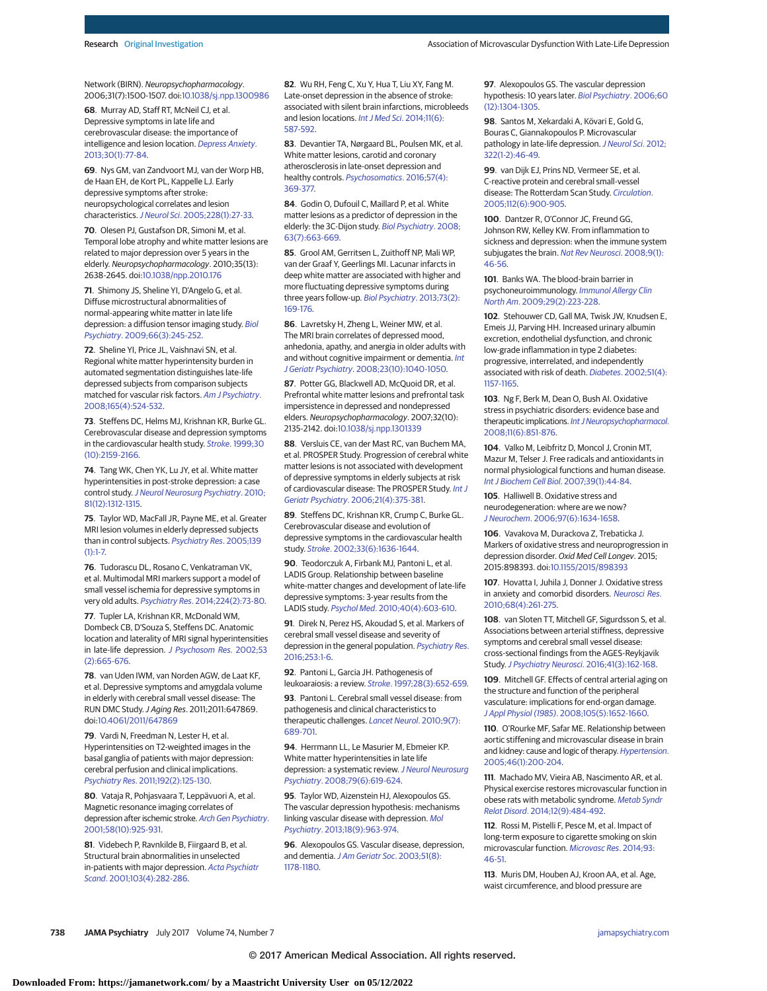Network (BIRN). Neuropsychopharmacology. 2006;31(7):1500-1507. doi[:10.1038/sj.npp.1300986](http://dx.doi.org/10.1038/sj.npp.1300986)

**68**. Murray AD, Staff RT, McNeil CJ, et al. Depressive symptoms in late life and cerebrovascular disease: the importance of intelligence and lesion location. [Depress Anxiety](https://www.ncbi.nlm.nih.gov/pubmed/23165823). [2013;30\(1\):77-84.](https://www.ncbi.nlm.nih.gov/pubmed/23165823)

**69**. Nys GM, van Zandvoort MJ, van der Worp HB, de Haan EH, de Kort PL, Kappelle LJ. Early depressive symptoms after stroke: neuropsychological correlates and lesion characteristics.J Neurol Sci[. 2005;228\(1\):27-33.](https://www.ncbi.nlm.nih.gov/pubmed/15607207)

**70**. Olesen PJ, Gustafson DR, Simoni M, et al. Temporal lobe atrophy and white matter lesions are related to major depression over 5 years in the elderly. Neuropsychopharmacology. 2010;35(13): 2638-2645. doi[:10.1038/npp.2010.176](http://dx.doi.org/10.1038/npp.2010.176)

**71**. Shimony JS, Sheline YI, D'Angelo G, et al. Diffuse microstructural abnormalities of normal-appearing white matter in late life depression: a diffusion tensor imaging study. [Biol](https://www.ncbi.nlm.nih.gov/pubmed/19375071) Psychiatry[. 2009;66\(3\):245-252.](https://www.ncbi.nlm.nih.gov/pubmed/19375071)

**72**. Sheline YI, Price JL, Vaishnavi SN, et al. Regional white matter hyperintensity burden in automated segmentation distinguishes late-life depressed subjects from comparison subjects matched for vascular risk factors. [Am J Psychiatry](https://www.ncbi.nlm.nih.gov/pubmed/18281408). [2008;165\(4\):524-532.](https://www.ncbi.nlm.nih.gov/pubmed/18281408)

**73**. Steffens DC, Helms MJ, Krishnan KR, Burke GL. Cerebrovascular disease and depression symptoms in the cardiovascular health study. Stroke[. 1999;30](https://www.ncbi.nlm.nih.gov/pubmed/10512922) [\(10\):2159-2166.](https://www.ncbi.nlm.nih.gov/pubmed/10512922)

**74**. Tang WK, Chen YK, Lu JY, et al. White matter hyperintensities in post-stroke depression: a case control study.[J Neurol Neurosurg Psychiatry](https://www.ncbi.nlm.nih.gov/pubmed/20562468). 2010; [81\(12\):1312-1315.](https://www.ncbi.nlm.nih.gov/pubmed/20562468)

**75**. Taylor WD, MacFall JR, Payne ME, et al. Greater MRI lesion volumes in elderly depressed subjects than in control subjects. [Psychiatry Res](https://www.ncbi.nlm.nih.gov/pubmed/15927454). 2005;139  $(1):1-7.$ 

**76**. Tudorascu DL, Rosano C, Venkatraman VK, et al. Multimodal MRI markers support a model of small vessel ischemia for depressive symptoms in very old adults. Psychiatry Res[. 2014;224\(2\):73-80.](https://www.ncbi.nlm.nih.gov/pubmed/25205441)

**77**. Tupler LA, Krishnan KR, McDonald WM, Dombeck CB, D'Souza S, Steffens DC. Anatomic location and laterality of MRI signal hyperintensities in late-life depression. [J Psychosom Res](https://www.ncbi.nlm.nih.gov/pubmed/12169341). 2002;53 [\(2\):665-676.](https://www.ncbi.nlm.nih.gov/pubmed/12169341)

**78**. van Uden IWM, van Norden AGW, de Laat KF, et al. Depressive symptoms and amygdala volume in elderly with cerebral small vessel disease: The RUN DMC Study.J Aging Res. 2011;2011:647869. doi[:10.4061/2011/647869](http://dx.doi.org/10.4061/2011/647869)

**79**. Vardi N, Freedman N, Lester H, et al. Hyperintensities on T2-weighted images in the basal ganglia of patients with major depression: cerebral perfusion and clinical implications. Psychiatry Res[. 2011;192\(2\):125-130.](https://www.ncbi.nlm.nih.gov/pubmed/21482458)

**80**. Vataja R, Pohjasvaara T, Leppävuori A, et al. Magnetic resonance imaging correlates of depression after ischemic stroke. [Arch Gen Psychiatry](https://www.ncbi.nlm.nih.gov/pubmed/11576030). [2001;58\(10\):925-931.](https://www.ncbi.nlm.nih.gov/pubmed/11576030)

**81**. Videbech P, Ravnkilde B, Fiirgaard B, et al. Structural brain abnormalities in unselected in-patients with major depression. [Acta Psychiatr](https://www.ncbi.nlm.nih.gov/pubmed/11328242) Scand[. 2001;103\(4\):282-286.](https://www.ncbi.nlm.nih.gov/pubmed/11328242)

**82**. Wu RH, Feng C, Xu Y, Hua T, Liu XY, Fang M. Late-onset depression in the absence of stroke: associated with silent brain infarctions, microbleeds and lesion locations. [Int J Med Sci](https://www.ncbi.nlm.nih.gov/pubmed/24782647). 2014;11(6): [587-592.](https://www.ncbi.nlm.nih.gov/pubmed/24782647)

**83**. Devantier TA, Nørgaard BL, Poulsen MK, et al. White matter lesions, carotid and coronary atherosclerosis in late-onset depression and healthy controls. [Psychosomatics](https://www.ncbi.nlm.nih.gov/pubmed/27036850). 2016;57(4): [369-377.](https://www.ncbi.nlm.nih.gov/pubmed/27036850)

**84**. Godin O, Dufouil C, Maillard P, et al. White matter lesions as a predictor of depression in the elderly: the 3C-Dijon study. [Biol Psychiatry](https://www.ncbi.nlm.nih.gov/pubmed/17977521). 2008; [63\(7\):663-669.](https://www.ncbi.nlm.nih.gov/pubmed/17977521)

**85**. Grool AM, Gerritsen L, Zuithoff NP, Mali WP, van der Graaf Y, Geerlings MI. Lacunar infarcts in deep white matter are associated with higher and more fluctuating depressive symptoms during three years follow-up. [Biol Psychiatry](https://www.ncbi.nlm.nih.gov/pubmed/23079234). 2013;73(2): [169-176.](https://www.ncbi.nlm.nih.gov/pubmed/23079234)

**86**. Lavretsky H, Zheng L, Weiner MW, et al. The MRI brain correlates of depressed mood, anhedonia, apathy, and anergia in older adults with and without cognitive impairment or dementia. *[Int](https://www.ncbi.nlm.nih.gov/pubmed/18412291)* J Geriatr Psychiatry[. 2008;23\(10\):1040-1050.](https://www.ncbi.nlm.nih.gov/pubmed/18412291)

**87**. Potter GG, Blackwell AD, McQuoid DR, et al. Prefrontal white matter lesions and prefrontal task impersistence in depressed and nondepressed elders. Neuropsychopharmacology. 2007;32(10): 2135-2142. doi[:10.1038/sj.npp.1301339](http://dx.doi.org/10.1038/sj.npp.1301339)

**88**. Versluis CE, van der Mast RC, van Buchem MA, et al. PROSPER Study. Progression of cerebral white matter lesions is not associated with development of depressive symptoms in elderly subjects at risk of cardiovascular disease: The PROSPER Study. [Int J](https://www.ncbi.nlm.nih.gov/pubmed/16534770) Geriatr Psychiatry[. 2006;21\(4\):375-381.](https://www.ncbi.nlm.nih.gov/pubmed/16534770)

**89**. Steffens DC, Krishnan KR, Crump C, Burke GL. Cerebrovascular disease and evolution of depressive symptoms in the cardiovascular health study. Stroke[. 2002;33\(6\):1636-1644.](https://www.ncbi.nlm.nih.gov/pubmed/12053004)

**90**. Teodorczuk A, Firbank MJ, Pantoni L, et al. LADIS Group. Relationship between baseline white-matter changes and development of late-life depressive symptoms: 3-year results from the LADIS study. Psychol Med[. 2010;40\(4\):603-610.](https://www.ncbi.nlm.nih.gov/pubmed/19671212)

**91**. Direk N, Perez HS, Akoudad S, et al. Markers of cerebral small vessel disease and severity of depression in the general population. [Psychiatry Res](https://www.ncbi.nlm.nih.gov/pubmed/27254084). [2016;253:1-6.](https://www.ncbi.nlm.nih.gov/pubmed/27254084)

**92**. Pantoni L, Garcia JH. Pathogenesis of leukoaraiosis: a review. Stroke[. 1997;28\(3\):652-659.](https://www.ncbi.nlm.nih.gov/pubmed/9056627)

**93**. Pantoni L. Cerebral small vessel disease: from pathogenesis and clinical characteristics to therapeutic challenges. [Lancet Neurol](https://www.ncbi.nlm.nih.gov/pubmed/20610345). 2010;9(7): [689-701.](https://www.ncbi.nlm.nih.gov/pubmed/20610345)

**94**. Herrmann LL, Le Masurier M, Ebmeier KP. White matter hyperintensities in late life depression: a systematic review. [J Neurol Neurosurg](https://www.ncbi.nlm.nih.gov/pubmed/17717021) Psychiatry[. 2008;79\(6\):619-624.](https://www.ncbi.nlm.nih.gov/pubmed/17717021)

**95**. Taylor WD, Aizenstein HJ, Alexopoulos GS. The vascular depression hypothesis: mechanisms linking vascular disease with depression. [Mol](https://www.ncbi.nlm.nih.gov/pubmed/23439482) Psychiatry[. 2013;18\(9\):963-974.](https://www.ncbi.nlm.nih.gov/pubmed/23439482)

**96**. Alexopoulos GS. Vascular disease, depression, and dementia. [J Am Geriatr Soc](https://www.ncbi.nlm.nih.gov/pubmed/12890087). 2003;51(8): [1178-1180.](https://www.ncbi.nlm.nih.gov/pubmed/12890087)

**97**. Alexopoulos GS. The vascular depression hypothesis: 10 years later. [Biol Psychiatry](https://www.ncbi.nlm.nih.gov/pubmed/17157096). 2006;60 [\(12\):1304-1305.](https://www.ncbi.nlm.nih.gov/pubmed/17157096)

**98**. Santos M, Xekardaki A, Kövari E, Gold G, Bouras C, Giannakopoulos P. Microvascular pathology in late-life depression. [J Neurol Sci](https://www.ncbi.nlm.nih.gov/pubmed/22687957). 2012; [322\(1-2\):46-49.](https://www.ncbi.nlm.nih.gov/pubmed/22687957)

**99**. van Dijk EJ, Prins ND, Vermeer SE, et al. C-reactive protein and cerebral small-vessel disease: The Rotterdam Scan Study. [Circulation](https://www.ncbi.nlm.nih.gov/pubmed/16061741). [2005;112\(6\):900-905.](https://www.ncbi.nlm.nih.gov/pubmed/16061741)

**100**. Dantzer R, O'Connor JC, Freund GG, Johnson RW, Kelley KW. From inflammation to sickness and depression: when the immune system subjugates the brain. [Nat Rev Neurosci](https://www.ncbi.nlm.nih.gov/pubmed/18073775). 2008;9(1): [46-56.](https://www.ncbi.nlm.nih.gov/pubmed/18073775)

**101**. Banks WA. The blood-brain barrier in psychoneuroimmunology. [Immunol Allergy Clin](https://www.ncbi.nlm.nih.gov/pubmed/19389578) North Am[. 2009;29\(2\):223-228.](https://www.ncbi.nlm.nih.gov/pubmed/19389578)

**102**. Stehouwer CD, Gall MA, Twisk JW, Knudsen E, Emeis JJ, Parving HH. Increased urinary albumin excretion, endothelial dysfunction, and chronic low-grade inflammation in type 2 diabetes: progressive, interrelated, and independently associated with risk of death. Diabetes[. 2002;51\(4\):](https://www.ncbi.nlm.nih.gov/pubmed/11916939) [1157-1165.](https://www.ncbi.nlm.nih.gov/pubmed/11916939)

**103**. Ng F, Berk M, Dean O, Bush AI. Oxidative stress in psychiatric disorders: evidence base and therapeutic implications. [Int J Neuropsychopharmacol](https://www.ncbi.nlm.nih.gov/pubmed/18205981). [2008;11\(6\):851-876.](https://www.ncbi.nlm.nih.gov/pubmed/18205981)

**104**. Valko M, Leibfritz D, Moncol J, Cronin MT, Mazur M, Telser J. Free radicals and antioxidants in normal physiological functions and human disease. [Int J Biochem Cell Biol](https://www.ncbi.nlm.nih.gov/pubmed/16978905). 2007;39(1):44-84.

**105**. Halliwell B. Oxidative stress and neurodegeneration: where are we now? J Neurochem[. 2006;97\(6\):1634-1658.](https://www.ncbi.nlm.nih.gov/pubmed/16805774)

**106**. Vavakova M, Durackova Z, Trebaticka J. Markers of oxidative stress and neuroprogression in depression disorder. Oxid Med Cell Longev. 2015; 2015:898393. doi[:10.1155/2015/898393](http://dx.doi.org/10.1155/2015/898393)

**107**. Hovatta I, Juhila J, Donner J. Oxidative stress in anxiety and comorbid disorders. [Neurosci Res](https://www.ncbi.nlm.nih.gov/pubmed/20804792). [2010;68\(4\):261-275.](https://www.ncbi.nlm.nih.gov/pubmed/20804792)

**108**. van Sloten TT, Mitchell GF, Sigurdsson S, et al. Associations between arterial stiffness, depressive symptoms and cerebral small vessel disease: cross-sectional findings from the AGES-Reykjavik Study.[J Psychiatry Neurosci](https://www.ncbi.nlm.nih.gov/pubmed/26505140). 2016;41(3):162-168.

**109**. Mitchell GF. Effects of central arterial aging on the structure and function of the peripheral vasculature: implications for end-organ damage. J Appl Physiol (1985)[. 2008;105\(5\):1652-1660.](https://www.ncbi.nlm.nih.gov/pubmed/18772322)

**110**. O'Rourke MF, Safar ME. Relationship between aortic stiffening and microvascular disease in brain and kidney: cause and logic of therapy. [Hypertension](https://www.ncbi.nlm.nih.gov/pubmed/15911742). [2005;46\(1\):200-204.](https://www.ncbi.nlm.nih.gov/pubmed/15911742)

**111**. Machado MV, Vieira AB, Nascimento AR, et al. Physical exercise restores microvascular function in obese rats with metabolic syndrome. [Metab Syndr](https://www.ncbi.nlm.nih.gov/pubmed/25137183) Relat Disord[. 2014;12\(9\):484-492.](https://www.ncbi.nlm.nih.gov/pubmed/25137183)

**112**. Rossi M, Pistelli F, Pesce M, et al. Impact of long-term exposure to cigarette smoking on skin microvascular function. [Microvasc Res](https://www.ncbi.nlm.nih.gov/pubmed/24631205). 2014;93: [46-51.](https://www.ncbi.nlm.nih.gov/pubmed/24631205)

**113**. Muris DM, Houben AJ, Kroon AA, et al. Age, waist circumference, and blood pressure are